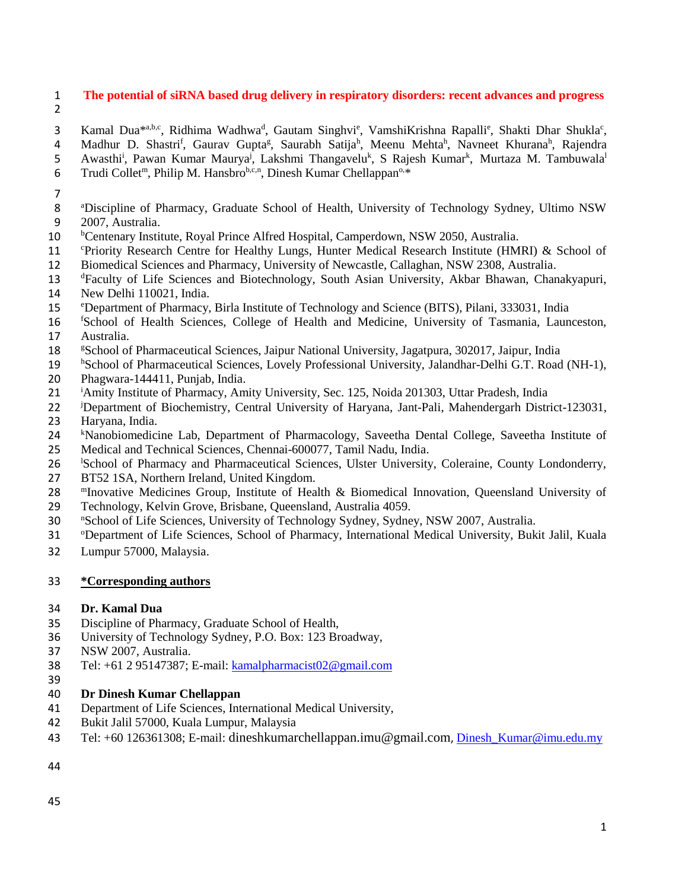# **The potential of siRNA based drug delivery in respiratory disorders: recent advances and progress**

3 Kamal Dua<sup>\*a,b,c</sup>, Ridhima Wadhwa<sup>d</sup>, Gautam Singhvi<sup>e</sup>, VamshiKrishna Rapalli<sup>e</sup>, Shakti Dhar Shukla<sup>c</sup>,

4 Madhur D. Shastri<sup>f</sup>, Gaurav Gupta<sup>g</sup>, Saurabh Satija<sup>h</sup>, Meenu Mehta<sup>h</sup>, Navneet Khurana<sup>h</sup>, Rajendra

5 Awasthi<sup>i</sup>, Pawan Kumar Maurya<sup>j</sup>, Lakshmi Thangavelu<sup>k</sup>, S Rajesh Kumar<sup>k</sup>, Murtaza M. Tambuwala<sup>l</sup>

- 6 Trudi Collet<sup>m</sup>, Philip M. Hansbro<sup>b,c,n</sup>, Dinesh Kumar Chellappan<sup>o,\*</sup>
- 
- <sup>a</sup>Discipline of Pharmacy, Graduate School of Health, University of Technology Sydney, Ultimo NSW 2007, Australia.
- <sup>b</sup> 10 <sup>b</sup> Centenary Institute, Royal Prince Alfred Hospital, Camperdown, NSW 2050, Australia.
- 11 C Priority Research Centre for Healthy Lungs, Hunter Medical Research Institute (HMRI) & School of Biomedical Sciences and Pharmacy, University of Newcastle, Callaghan, NSW 2308, Australia.
- 13 <sup>d</sup> Faculty of Life Sciences and Biotechnology, South Asian University, Akbar Bhawan, Chanakyapuri,
- New Delhi 110021, India.
- <sup>e</sup>Department of Pharmacy, Birla Institute of Technology and Science (BITS), Pilani, 333031, India
- <sup>f</sup> School of Health Sciences, College of Health and Medicine, University of Tasmania, Launceston, Australia.
- 18 <sup>g</sup> School of Pharmaceutical Sciences, Jaipur National University, Jagatpura, 302017, Jaipur, India
- <sup>h</sup> School of Pharmaceutical Sciences, Lovely Professional University, Jalandhar-Delhi G.T. Road (NH-1), Phagwara-144411, Punjab, India.
- <sup>i</sup>Amity Institute of Pharmacy, Amity University, Sec. 125, Noida 201303, Uttar Pradesh, India
- <sup>j</sup>Department of Biochemistry, Central University of Haryana, Jant-Pali, Mahendergarh District-123031, Haryana, India.
- 24 kNanobiomedicine Lab, Department of Pharmacology, Saveetha Dental College, Saveetha Institute of
- Medical and Technical Sciences, Chennai-600077, Tamil Nadu, India.
- 26 <sup>I</sup>School of Pharmacy and Pharmaceutical Sciences, Ulster University, Coleraine, County Londonderry,
- BT52 1SA, Northern Ireland, United Kingdom.
- 28 <sup>Im</sup> Inovative Medicines Group, Institute of Health & Biomedical Innovation, Queensland University of
- Technology, Kelvin Grove, Brisbane, Queensland, Australia 4059.
- 30 School of Life Sciences, University of Technology Sydney, Sydney, NSW 2007, Australia.
- 31 OPepartment of Life Sciences, School of Pharmacy, International Medical University, Bukit Jalil, Kuala
- Lumpur 57000, Malaysia.

# **\*Corresponding authors**

# **Dr. Kamal Dua**

- Discipline of Pharmacy, Graduate School of Health,
- University of Technology Sydney, P.O. Box: 123 Broadway,
- NSW 2007, Australia.
- Tel: +61 2 95147387; E-mail: [kamalpharmacist02@gmail.com](mailto:kamalpharmacist02@gmail.com)
- 

# **Dr Dinesh Kumar Chellappan**

- Department of Life Sciences, International Medical University,
- Bukit Jalil 57000, Kuala Lumpur, Malaysia
- Tel: +60 126361308; E-mail: dineshkumarchellappan.imu@gmail.com, [Dinesh\\_Kumar@imu.edu.my](mailto:Dinesh_Kumar@imu.edu.my)
-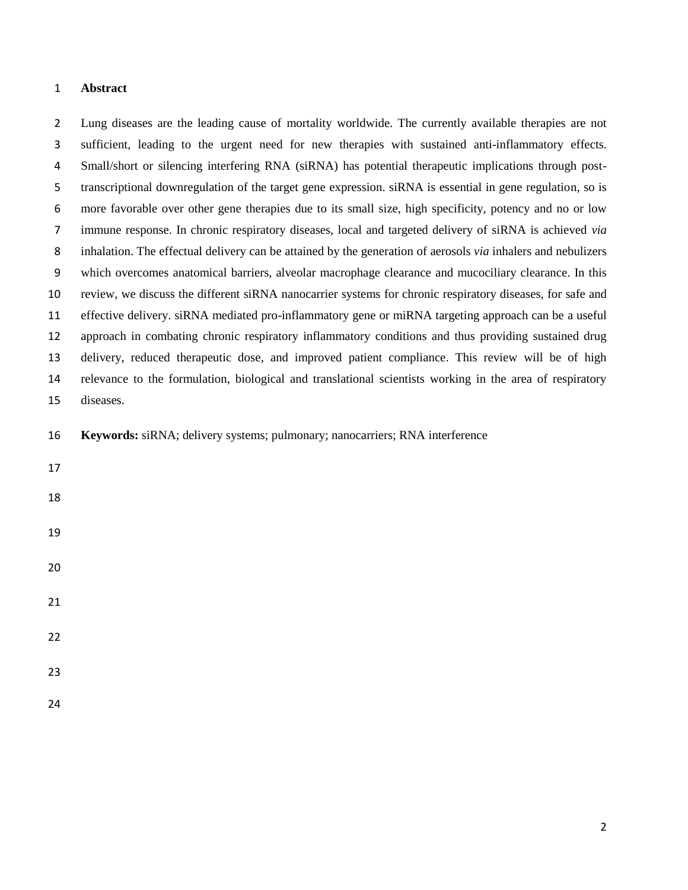# **Abstract**

 Lung diseases are the leading cause of mortality worldwide. The currently available therapies are not sufficient, leading to the urgent need for new therapies with sustained anti-inflammatory effects. Small/short or silencing interfering RNA (siRNA) has potential therapeutic implications through post- transcriptional downregulation of the target gene expression. siRNA is essential in gene regulation, so is more favorable over other gene therapies due to its small size, high specificity, potency and no or low immune response. In chronic respiratory diseases, local and targeted delivery of siRNA is achieved *via* inhalation. The effectual delivery can be attained by the generation of aerosols *via* inhalers and nebulizers which overcomes anatomical barriers, alveolar macrophage clearance and mucociliary clearance. In this review, we discuss the different siRNA nanocarrier systems for chronic respiratory diseases, for safe and effective delivery. siRNA mediated pro-inflammatory gene or miRNA targeting approach can be a useful approach in combating chronic respiratory inflammatory conditions and thus providing sustained drug delivery, reduced therapeutic dose, and improved patient compliance. This review will be of high relevance to the formulation, biological and translational scientists working in the area of respiratory diseases. **Keywords:** siRNA; delivery systems; pulmonary; nanocarriers; RNA interference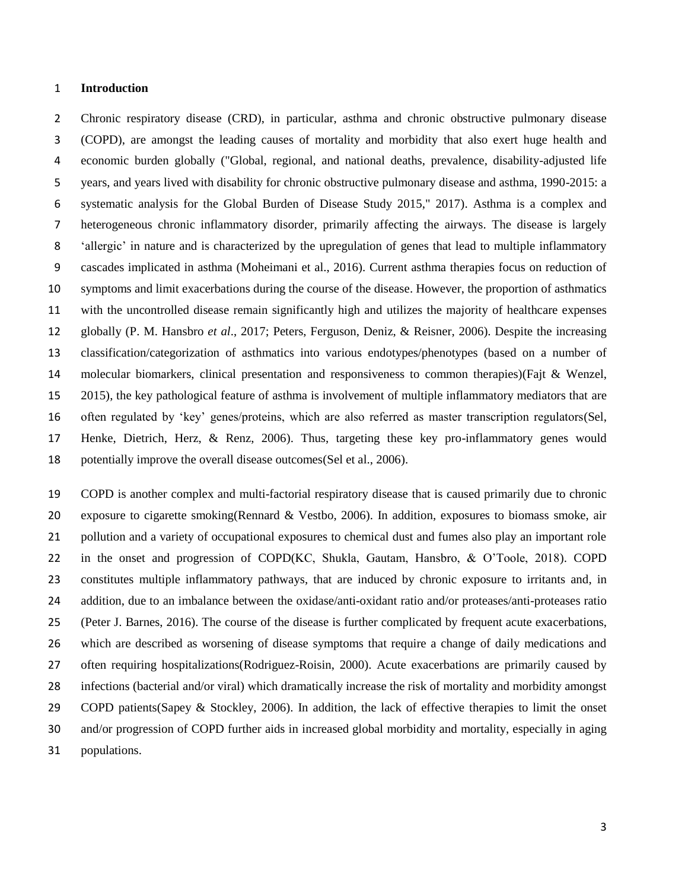#### **Introduction**

 Chronic respiratory disease (CRD), in particular, asthma and chronic obstructive pulmonary disease (COPD), are amongst the leading causes of mortality and morbidity that also exert huge health and economic burden globally [\("Global, regional, and national deaths, prevalence, disability-adjusted life](#page-20-0)  [years, and years lived with disability for chronic obstructive pulmonary disease and asthma, 1990-2015: a](#page-20-0)  systematic analysis [for the Global Burden of Disease Study 2015," 2017\)](#page-20-0). Asthma is a complex and heterogeneous chronic inflammatory disorder, primarily affecting the airways. The disease is largely 'allergic' in nature and is characterized by the upregulation of genes that lead to multiple inflammatory cascades implicated in asthma [\(Moheimani et al., 2016\)](#page-22-0). Current asthma therapies focus on reduction of symptoms and limit exacerbations during the course of the disease. However, the proportion of asthmatics with the uncontrolled disease remain significantly high and utilizes the majority of healthcare expenses globally [\(P. M. Hansbro](#page-20-1) *et al*., 2017; [Peters, Ferguson, Deniz, & Reisner, 2006\)](#page-23-0). Despite the increasing classification/categorization of asthmatics into various endotypes/phenotypes (based on a number of molecular biomarkers, clinical presentation and responsiveness to common therapies)[\(Fajt & Wenzel,](#page-20-2)  [2015\)](#page-20-2), the key pathological feature of asthma is involvement of multiple inflammatory mediators that are often regulated by 'key' genes/proteins, which are also referred as master transcription regulators[\(Sel,](#page-24-0)  [Henke, Dietrich, Herz, & Renz, 2006\)](#page-24-0). Thus, targeting these key pro-inflammatory genes would potentially improve the overall disease outcomes[\(Sel et al., 2006\)](#page-24-0).

 COPD is another complex and multi-factorial respiratory disease that is caused primarily due to chronic exposure to cigarette smoking[\(Rennard & Vestbo, 2006\)](#page-23-1). In addition, exposures to biomass smoke, air pollution and a variety of occupational exposures to chemical dust and fumes also play an important role in the onset and progression of COPD[\(KC, Shukla, Gautam, Hansbro, & O'Toole, 2018\)](#page-21-0). COPD constitutes multiple inflammatory pathways, that are induced by chronic exposure to irritants and, in addition, due to an imbalance between the oxidase/anti-oxidant ratio and/or proteases/anti-proteases ratio [\(Peter J. Barnes, 2016\)](#page-17-0). The course of the disease is further complicated by frequent acute exacerbations, which are described as worsening of disease symptoms that require a change of daily medications and often requiring hospitalizations[\(Rodriguez-Roisin, 2000\)](#page-23-2). Acute exacerbations are primarily caused by infections (bacterial and/or viral) which dramatically increase the risk of mortality and morbidity amongst COPD patients[\(Sapey & Stockley, 2006\)](#page-24-1). In addition, the lack of effective therapies to limit the onset and/or progression of COPD further aids in increased global morbidity and mortality, especially in aging populations.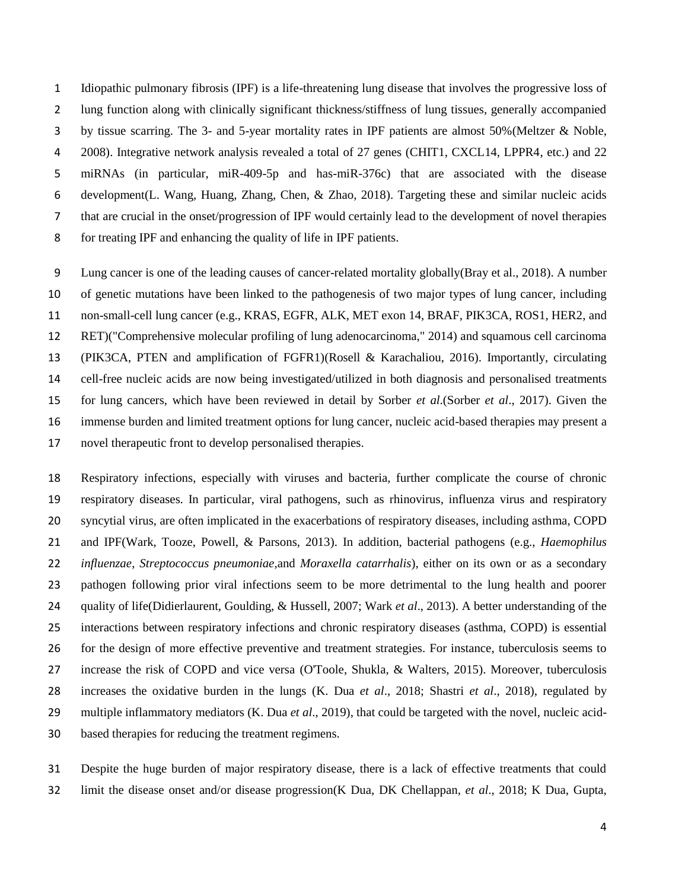Idiopathic pulmonary fibrosis (IPF) is a life-threatening lung disease that involves the progressive loss of lung function along with clinically significant thickness/stiffness of lung tissues, generally accompanied by tissue scarring. The 3- and 5-year mortality rates in IPF patients are almost 50%[\(Meltzer & Noble,](#page-22-1)  [2008\)](#page-22-1). Integrative network analysis revealed a total of 27 genes (CHIT1, CXCL14, LPPR4, etc.) and 22 miRNAs (in particular, miR-409-5p and has-miR-376c) that are associated with the disease development[\(L. Wang, Huang, Zhang, Chen, & Zhao, 2018\)](#page-25-0). Targeting these and similar nucleic acids that are crucial in the onset/progression of IPF would certainly lead to the development of novel therapies for treating IPF and enhancing the quality of life in IPF patients.

 Lung cancer is one of the leading causes of cancer-related mortality globally[\(Bray et al., 2018\)](#page-17-1). A number of genetic mutations have been linked to the pathogenesis of two major types of lung cancer, including non-small-cell lung cancer (e.g., KRAS, EGFR, ALK, MET exon 14, BRAF, PIK3CA, ROS1, HER2, and RET)[\("Comprehensive molecular profiling of lung adenocarcinoma," 2014\)](#page-18-0) and squamous cell carcinoma (PIK3CA, PTEN and amplification of FGFR1)[\(Rosell & Karachaliou, 2016\)](#page-23-3). Importantly, circulating cell-free nucleic acids are now being investigated/utilized in both diagnosis and personalised treatments for lung cancers, which have been reviewed in detail by Sorber *et al*.(Sorber *et al*[., 2017\)](#page-24-2). Given the immense burden and limited treatment options for lung cancer, nucleic acid-based therapies may present a novel therapeutic front to develop personalised therapies.

 Respiratory infections, especially with viruses and bacteria, further complicate the course of chronic respiratory diseases. In particular, viral pathogens, such as rhinovirus, influenza virus and respiratory syncytial virus, are often implicated in the exacerbations of respiratory diseases, including asthma, COPD and IPF[\(Wark, Tooze, Powell, & Parsons, 2013\)](#page-25-1). In addition, bacterial pathogens (e.g., *Haemophilus influenzae*, *Streptococcus pneumoniae,*and *Moraxella catarrhalis*), either on its own or as a secondary pathogen following prior viral infections seem to be more detrimental to the lung health and poorer quality of life[\(Didierlaurent, Goulding, & Hussell, 2007;](#page-19-0) Wark *et al*[., 2013\)](#page-25-1). A better understanding of the interactions between respiratory infections and chronic respiratory diseases (asthma, COPD) is essential for the design of more effective preventive and treatment strategies. For instance, tuberculosis seems to increase the risk of COPD and vice versa [\(O'Toole, Shukla, & Walters, 2015\)](#page-22-2). Moreover, tuberculosis increases the oxidative burden in the lungs [\(K. Dua](#page-19-1) *et al*., 2018; [Shastri](#page-24-3) *et al*., 2018), regulated by multiple inflammatory mediators [\(K. Dua](#page-19-2) *et al*., 2019), that could be targeted with the novel, nucleic acid-based therapies for reducing the treatment regimens.

 Despite the huge burden of major respiratory disease, there is a lack of effective treatments that could limit the disease onset and/or disease progression[\(K Dua, DK Chellappan,](#page-19-3) *et al*., 2018; [K Dua, Gupta,](#page-19-4)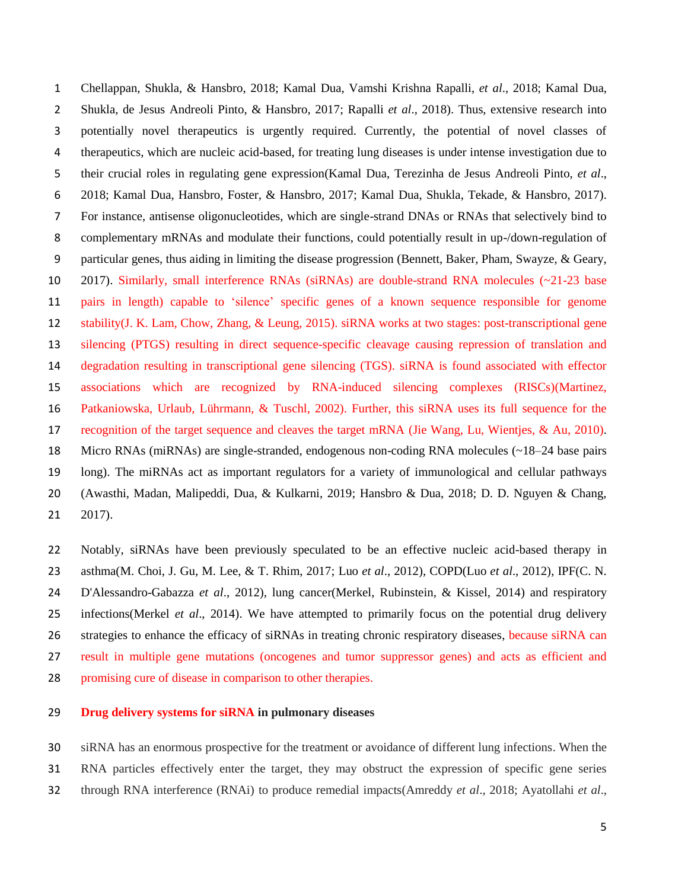[Chellappan, Shukla, & Hansbro, 2018;](#page-19-4) [Kamal Dua, Vamshi Krishna Rapalli,](#page-19-5) *et al*., 2018; [Kamal Dua,](#page-19-6)  [Shukla, de Jesus Andreoli Pinto, & Hansbro, 2017;](#page-19-6) [Rapalli](#page-23-4) *et al*., 2018). Thus, extensive research into potentially novel therapeutics is urgently required. Currently, the potential of novel classes of therapeutics, which are nucleic acid-based, for treating lung diseases is under intense investigation due to their crucial roles in regulating gene expression[\(Kamal Dua, Terezinha de Jesus Andreoli Pinto,](#page-19-7) *et al*., [2018;](#page-19-7) [Kamal Dua, Hansbro, Foster, & Hansbro, 2017;](#page-19-8) [Kamal Dua, Shukla, Tekade, & Hansbro, 2017\)](#page-19-9). For instance, antisense oligonucleotides, which are single-strand DNAs or RNAs that selectively bind to complementary mRNAs and modulate their functions, could potentially result in up-/down-regulation of particular genes, thus aiding in limiting the disease progression [\(Bennett, Baker, Pham, Swayze, & Geary,](#page-17-2)  [2017\)](#page-17-2). Similarly, small interference RNAs (siRNAs) are double-strand RNA molecules (~21-23 base pairs in length) capable to 'silence' specific genes of a known sequence responsible for genome stability[\(J. K. Lam, Chow, Zhang, & Leung, 2015\)](#page-21-1). siRNA works at two stages: post-transcriptional gene silencing (PTGS) resulting in direct sequence-specific cleavage causing repression of translation and degradation resulting in transcriptional gene silencing (TGS). siRNA is found associated with effector associations which are recognized by RNA-induced silencing complexes (RISCs)[\(Martinez,](#page-22-3)  [Patkaniowska, Urlaub, Lührmann, & Tuschl, 2002\)](#page-22-3). Further, this siRNA uses its full sequence for the recognition of the target sequence and cleaves the target mRNA [\(Jie Wang, Lu, Wientjes, & Au, 2010\)](#page-25-2). Micro RNAs (miRNAs) are single-stranded, endogenous non-coding RNA molecules (~18–24 base pairs long). The miRNAs act as important regulators for a variety of immunological and cellular pathways [\(Awasthi, Madan, Malipeddi, Dua, & Kulkarni, 2019;](#page-17-3) [Hansbro & Dua, 2018;](#page-20-3) [D. D. Nguyen & Chang,](#page-22-4)  [2017\)](#page-22-4).

 Notably, siRNAs have been previously speculated to be an effective nucleic acid-based therapy in asthma[\(M. Choi, J. Gu, M. Lee, & T. Rhim, 2017;](#page-18-1) Luo *et al*[., 2012\)](#page-21-2), COPD(Luo *et al*[., 2012\)](#page-21-2), IPF[\(C. N.](#page-18-2)  [D'Alessandro-Gabazza](#page-18-2) *et al*., 2012), lung cancer[\(Merkel, Rubinstein, & Kissel, 2014\)](#page-22-5) and respiratory infections[\(Merkel](#page-22-5) *et al*., 2014). We have attempted to primarily focus on the potential drug delivery strategies to enhance the efficacy of siRNAs in treating chronic respiratory diseases, because siRNA can result in multiple gene mutations (oncogenes and tumor suppressor genes) and acts as efficient and promising cure of disease in comparison to other therapies.

# **Drug delivery systems for siRNA in pulmonary diseases**

 siRNA has an enormous prospective for the treatment or avoidance of different lung infections. When the RNA particles effectively enter the target, they may obstruct the expression of specific gene series through RNA interference (RNAi) to produce remedial impacts[\(Amreddy](#page-17-4) *et al*., 2018; [Ayatollahi](#page-17-5) *et al*.,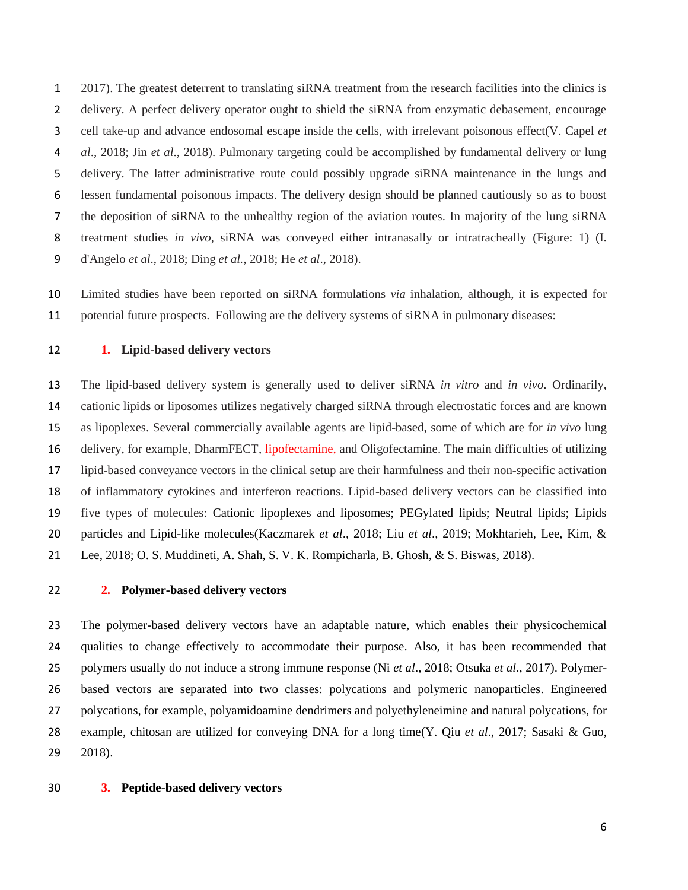[2017\)](#page-17-5). The greatest deterrent to translating siRNA treatment from the research facilities into the clinics is delivery. A perfect delivery operator ought to shield the siRNA from enzymatic debasement, encourage cell take-up and advance endosomal escape inside the cells, with irrelevant poisonous effect[\(V. Capel](#page-17-6) *et al*[., 2018;](#page-17-6) Jin *et al*[., 2018\)](#page-21-3). Pulmonary targeting could be accomplished by fundamental delivery or lung delivery. The latter administrative route could possibly upgrade siRNA maintenance in the lungs and lessen fundamental poisonous impacts. The delivery design should be planned cautiously so as to boost the deposition of siRNA to the unhealthy region of the aviation routes. In majority of the lung siRNA treatment studies *in vivo*, siRNA was conveyed either intranasally or intratracheally (Figure: 1) [\(I.](#page-18-3)  [d'Angelo](#page-18-3) *et al*., 2018; Ding *et al.*[, 2018;](#page-19-10) He *et al*[., 2018\)](#page-20-4).

 Limited studies have been reported on siRNA formulations *via* inhalation, although, it is expected for 11 potential future prospects. Following are the delivery systems of siRNA in pulmonary diseases:

# **1. Lipid-based delivery vectors**

 The lipid-based delivery system is generally used to deliver siRNA *in vitro* and *in vivo*. Ordinarily, cationic lipids or liposomes utilizes negatively charged siRNA through electrostatic forces and are known as lipoplexes. Several commercially available agents are lipid-based, some of which are for *in vivo* lung delivery, for example, DharmFECT, lipofectamine, and Oligofectamine. The main difficulties of utilizing lipid-based conveyance vectors in the clinical setup are their harmfulness and their non-specific activation of inflammatory cytokines and interferon reactions. Lipid-based delivery vectors can be classified into five types of molecules: Cationic lipoplexes and liposomes; PEGylated lipids; Neutral lipids; Lipids particles and Lipid-like molecules[\(Kaczmarek](#page-21-4) *et al*., 2018; Liu *et al*[., 2019;](#page-21-5) [Mokhtarieh, Lee, Kim, &](#page-22-6)  [Lee, 2018;](#page-22-6) [O. S. Muddineti, A. Shah, S. V. K. Rompicharla, B. Ghosh, & S. Biswas, 2018\)](#page-22-7).

# **2. Polymer-based delivery vectors**

 The polymer-based delivery vectors have an adaptable nature, which enables their physicochemical qualities to change effectively to accommodate their purpose. Also, it has been recommended that polymers usually do not induce a strong immune response (Ni *et al*[., 2018;](#page-22-8) [Otsuka](#page-23-5) *et al*., 2017). Polymer- based vectors are separated into two classes: polycations and polymeric nanoparticles. Engineered polycations, for example, polyamidoamine dendrimers and polyethyleneimine and natural polycations, for example, chitosan are utilized for conveying DNA for a long time[\(Y. Qiu](#page-23-6) *et al*., 2017; [Sasaki & Guo,](#page-24-4)  [2018\)](#page-24-4).

**3. Peptide-based delivery vectors**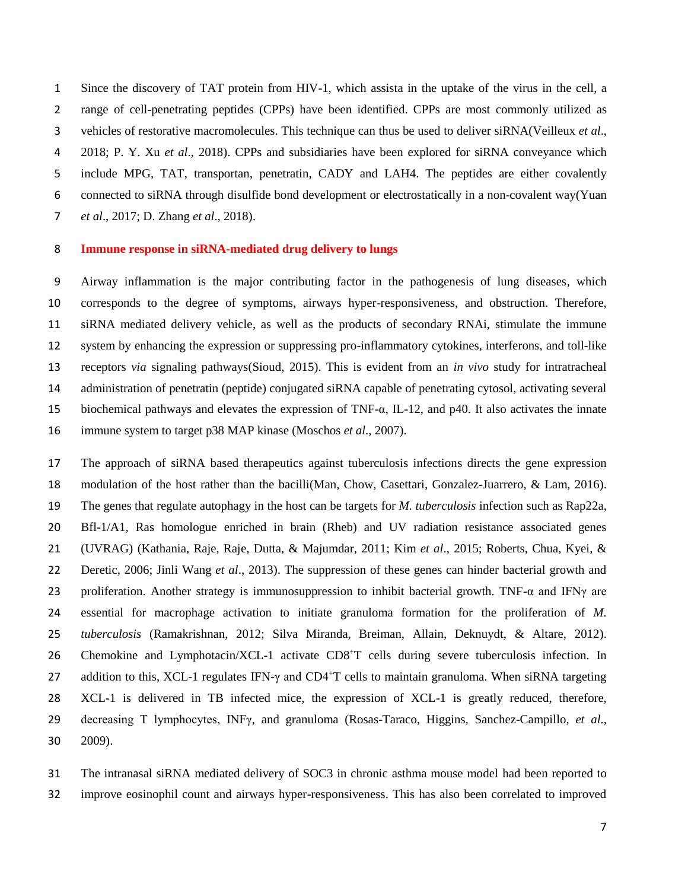Since the discovery of TAT protein from HIV-1, which assista in the uptake of the virus in the cell, a range of cell-penetrating peptides (CPPs) have been identified. CPPs are most commonly utilized as vehicles of restorative macromolecules. This technique can thus be used to deliver siRNA[\(Veilleux](#page-24-5) *et al*., [2018;](#page-24-5) [P. Y. Xu](#page-25-3) *et al*., 2018). CPPs and subsidiaries have been explored for siRNA conveyance which include MPG, TAT, transportan, penetratin, CADY and LAH4. The peptides are either covalently connected to siRNA through disulfide bond development or electrostatically in a non-covalent way[\(Yuan](#page-26-0)  *et al*[., 2017;](#page-26-0) [D. Zhang](#page-26-1) *et al*., 2018).

#### **Immune response in siRNA-mediated drug delivery to lungs**

 Airway inflammation is the major contributing factor in the pathogenesis of lung diseases, which corresponds to the degree of symptoms, airways hyper-responsiveness, and obstruction. Therefore, siRNA mediated delivery vehicle, as well as the products of secondary RNAi, stimulate the immune system by enhancing the expression or suppressing pro-inflammatory cytokines, interferons, and toll-like receptors *via* signaling pathways[\(Sioud, 2015\)](#page-24-6). This is evident from an *in vivo* study for intratracheal administration of penetratin (peptide) conjugated siRNA capable of penetrating cytosol, activating several biochemical pathways and elevates the expression of TNF-α, IL-12, and p40. It also activates the innate immune system to target p38 MAP kinase [\(Moschos](#page-22-9) *et al*., 2007).

 The approach of siRNA based therapeutics against tuberculosis infections directs the gene expression modulation of the host rather than the bacilli[\(Man, Chow, Casettari, Gonzalez-Juarrero, & Lam, 2016\)](#page-21-6). The genes that regulate autophagy in the host can be targets for *M. tuberculosis* infection such as Rap22a, Bfl-1/A1, Ras homologue enriched in brain (Rheb) and UV radiation resistance associated genes (UVRAG) [\(Kathania, Raje, Raje, Dutta, & Majumdar, 2011;](#page-21-7) Kim *et al*[., 2015;](#page-21-8) [Roberts, Chua, Kyei, &](#page-23-7)  [Deretic, 2006;](#page-23-7) [Jinli Wang](#page-25-4) *et al*., 2013). The suppression of these genes can hinder bacterial growth and 23 proliferation. Another strategy is immunosuppression to inhibit bacterial growth. TNF- $\alpha$  and IFN $\gamma$  are essential for macrophage activation to initiate granuloma formation for the proliferation of *M. tuberculosis* [\(Ramakrishnan, 2012;](#page-23-8) [Silva Miranda, Breiman, Allain, Deknuydt, & Altare, 2012\)](#page-24-7). 26 Chemokine and Lymphotacin/XCL-1 activate CD8<sup>+</sup>T cells during severe tuberculosis infection. In 27 addition to this, XCL-1 regulates IFN- $\gamma$  and CD4<sup>+</sup>T cells to maintain granuloma. When siRNA targeting XCL-1 is delivered in TB infected mice, the expression of XCL-1 is greatly reduced, therefore, decreasing T lymphocytes, INFγ, and granuloma [\(Rosas-Taraco, Higgins, Sanchez-Campillo,](#page-23-9) *et al*., [2009\)](#page-23-9).

 The intranasal siRNA mediated delivery of SOC3 in chronic asthma mouse model had been reported to improve eosinophil count and airways hyper-responsiveness. This has also been correlated to improved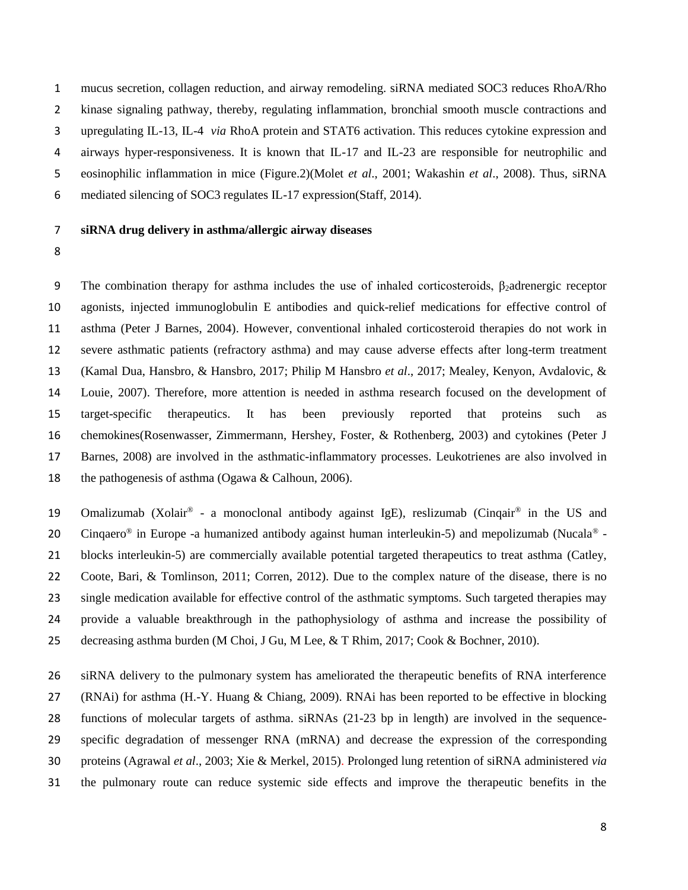mucus secretion, collagen reduction, and airway remodeling. siRNA mediated SOC3 reduces RhoA/Rho kinase signaling pathway, thereby, regulating inflammation, bronchial smooth muscle contractions and upregulating IL-13, IL-4 *via* RhoA protein and STAT6 activation. This reduces cytokine expression and airways hyper-responsiveness. It is known that IL-17 and IL-23 are responsible for neutrophilic and eosinophilic inflammation in mice (Figure.2)(Molet *et al*[., 2001;](#page-22-10) [Wakashin](#page-25-5) *et al*., 2008). Thus, siRNA mediated silencing of SOC3 regulates IL-17 expression[\(Staff, 2014\)](#page-24-8).

# **siRNA drug delivery in asthma/allergic airway diseases**

9 The combination therapy for asthma includes the use of inhaled corticosteroids,  $\beta_2$ adrenergic receptor agonists, injected immunoglobulin E antibodies and quick-relief medications for effective control of asthma [\(Peter J Barnes, 2004\)](#page-17-7). However, conventional inhaled corticosteroid therapies do not work in severe asthmatic patients (refractory asthma) and may cause adverse effects after long-term treatment [\(Kamal Dua, Hansbro, & Hansbro, 2017;](#page-19-11) [Philip M Hansbro](#page-20-5) *et al*., 2017; [Mealey, Kenyon, Avdalovic, &](#page-22-11)  [Louie, 2007\)](#page-22-11). Therefore, more attention is needed in asthma research focused on the development of target-specific therapeutics. It has been previously reported that proteins such as chemokines[\(Rosenwasser, Zimmermann, Hershey, Foster, & Rothenberg, 2003\)](#page-24-9) and cytokines [\(Peter J](#page-17-8)  [Barnes, 2008\)](#page-17-8) are involved in the asthmatic-inflammatory processes. Leukotrienes are also involved in the pathogenesis of asthma [\(Ogawa & Calhoun, 2006\)](#page-22-12).

19 Omalizumab (Xolair® - a monoclonal antibody against IgE), reslizumab (Cinqair® in the US and 20 Cinquaero<sup>®</sup> in Europe -a humanized antibody against human interleukin-5) and mepolizumab (Nucala<sup>®</sup> - blocks interleukin-5) are commercially available potential targeted therapeutics to treat asthma [\(Catley,](#page-18-4)  [Coote, Bari, & Tomlinson, 2011;](#page-18-4) [Corren, 2012\)](#page-18-5). Due to the complex nature of the disease, there is no single medication available for effective control of the asthmatic symptoms. Such targeted therapies may provide a valuable breakthrough in the pathophysiology of asthma and increase the possibility of decreasing asthma burden [\(M Choi, J Gu, M Lee, & T Rhim, 2017;](#page-18-6) [Cook & Bochner, 2010\)](#page-18-7).

 siRNA delivery to the pulmonary system has ameliorated the therapeutic benefits of RNA interference (RNAi) for asthma [\(H.-Y. Huang & Chiang, 2009\)](#page-20-6). RNAi has been reported to be effective in blocking functions of molecular targets of asthma. siRNAs (21-23 bp in length) are involved in the sequence- specific degradation of messenger RNA (mRNA) and decrease the expression of the corresponding proteins [\(Agrawal](#page-17-9) *et al*., 2003; [Xie & Merkel, 2015\)](#page-25-6). Prolonged lung retention of siRNA administered *via* the pulmonary route can reduce systemic side effects and improve the therapeutic benefits in the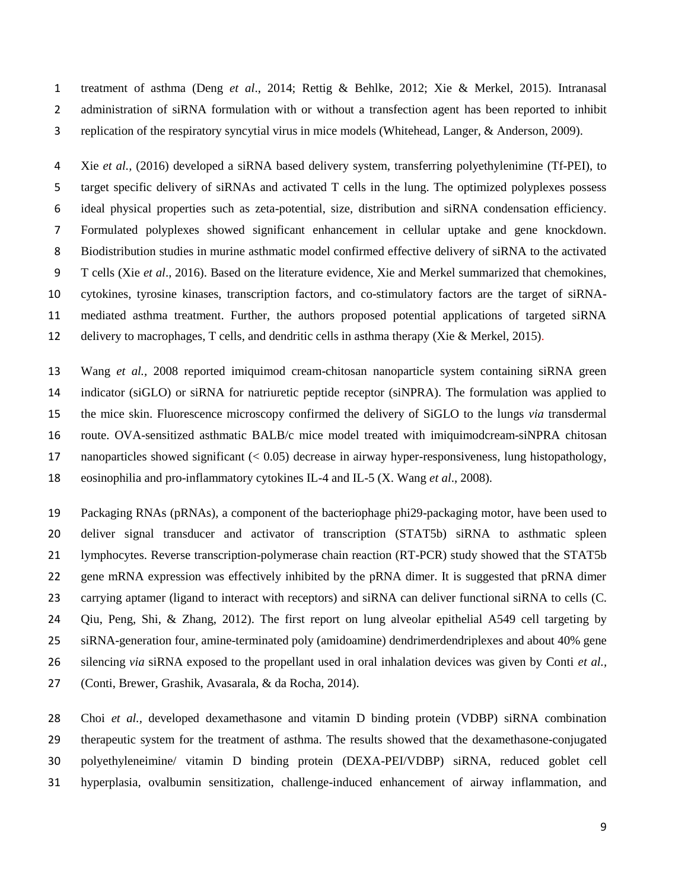treatment of asthma (Deng *et al*[., 2014;](#page-19-12) [Rettig & Behlke, 2012;](#page-23-10) [Xie & Merkel, 2015\)](#page-25-6). Intranasal administration of siRNA formulation with or without a transfection agent has been reported to inhibit replication of the respiratory syncytial virus in mice models [\(Whitehead, Langer, & Anderson, 2009\)](#page-25-7).

 Xie *et al.,* (2016) developed a siRNA based delivery system, transferring polyethylenimine (Tf-PEI), to target specific delivery of siRNAs and activated T cells in the lung. The optimized polyplexes possess ideal physical properties such as zeta-potential, size, distribution and siRNA condensation efficiency. Formulated polyplexes showed significant enhancement in cellular uptake and gene knockdown. Biodistribution studies in murine asthmatic model confirmed effective delivery of siRNA to the activated T cells (Xie *et al*[., 2016\)](#page-25-8). Based on the literature evidence, Xie and Merkel summarized that chemokines, cytokines, tyrosine kinases, transcription factors, and co-stimulatory factors are the target of siRNA- mediated asthma treatment. Further, the authors proposed potential applications of targeted siRNA delivery to macrophages, T cells, and dendritic cells in asthma therapy [\(Xie & Merkel, 2015\)](#page-25-6).

 Wang *et al.,* 2008 reported imiquimod cream-chitosan nanoparticle system containing siRNA green indicator (siGLO) or siRNA for natriuretic peptide receptor (siNPRA). The formulation was applied to the mice skin. Fluorescence microscopy confirmed the delivery of SiGLO to the lungs *via* transdermal route. OVA-sensitized asthmatic BALB/c mice model treated with imiquimodcream-siNPRA chitosan nanoparticles showed significant (< 0.05) decrease in airway hyper-responsiveness, lung histopathology, eosinophilia and pro-inflammatory cytokines IL-4 and IL-5 [\(X. Wang](#page-25-9) *et al*., 2008).

 Packaging RNAs (pRNAs), a component of the bacteriophage phi29-packaging motor, have been used to deliver signal transducer and activator of transcription (STAT5b) siRNA to asthmatic spleen lymphocytes. Reverse transcription-polymerase chain reaction (RT-PCR) study showed that the STAT5b 22 gene mRNA expression was effectively inhibited by the pRNA dimer. It is suggested that pRNA dimer carrying aptamer (ligand to interact with receptors) and siRNA can deliver functional siRNA to cells [\(C.](#page-23-11)  [Qiu, Peng, Shi, & Zhang, 2012\)](#page-23-11). The first report on lung alveolar epithelial A549 cell targeting by siRNA-generation four, amine-terminated poly (amidoamine) dendrimerdendriplexes and about 40% gene silencing *via* siRNA exposed to the propellant used in oral inhalation devices was given by Conti *et al.,* [\(Conti, Brewer, Grashik, Avasarala, & da Rocha, 2014\)](#page-18-8).

 Choi *et al.,* developed dexamethasone and vitamin D binding protein (VDBP) siRNA combination therapeutic system for the treatment of asthma. The results showed that the dexamethasone-conjugated polyethyleneimine/ vitamin D binding protein (DEXA-PEI/VDBP) siRNA, reduced goblet cell hyperplasia, ovalbumin sensitization, challenge-induced enhancement of airway inflammation, and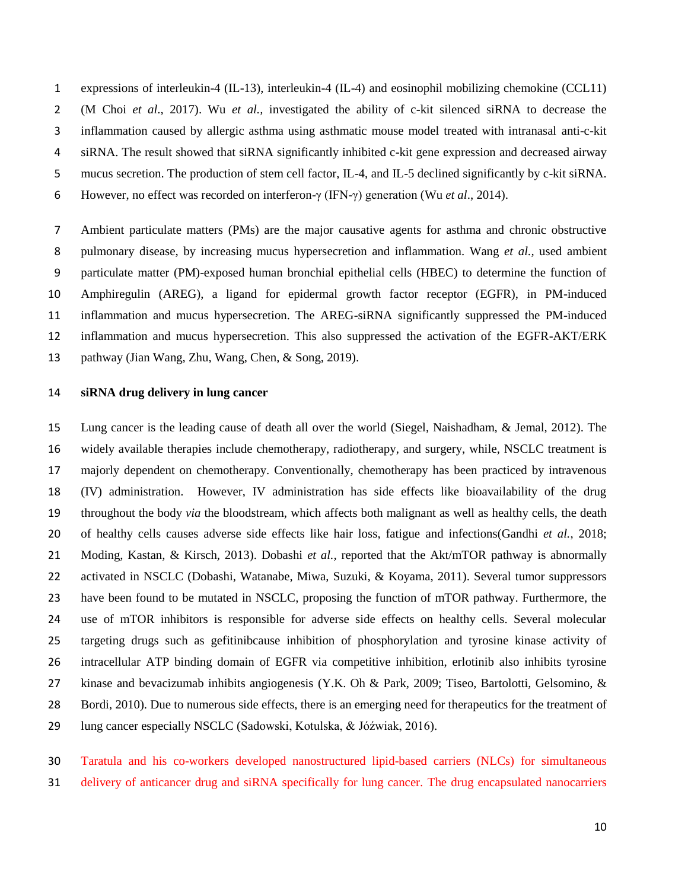expressions of interleukin-4 (IL-13), interleukin-4 (IL-4) and eosinophil mobilizing chemokine (CCL11) [\(M Choi](#page-18-6) *et al*., 2017). Wu *et al.,* investigated the ability of c-kit silenced siRNA to decrease the inflammation caused by allergic asthma using asthmatic mouse model treated with intranasal anti-c-kit siRNA. The result showed that siRNA significantly inhibited c-kit gene expression and decreased airway mucus secretion. The production of stem cell factor, IL-4, and IL-5 declined significantly by c-kit siRNA. However, no effect was recorded on interferon-γ (IFN-γ) generation (Wu *et al*[., 2014\)](#page-25-10).

 Ambient particulate matters (PMs) are the major causative agents for asthma and chronic obstructive pulmonary disease, by increasing mucus hypersecretion and inflammation. Wang *et al.,* used ambient particulate matter (PM)-exposed human bronchial epithelial cells (HBEC) to determine the function of Amphiregulin (AREG), a ligand for epidermal growth factor receptor (EGFR), in PM-induced inflammation and mucus hypersecretion. The AREG-siRNA significantly suppressed the PM-induced inflammation and mucus hypersecretion. This also suppressed the activation of the EGFR-AKT/ERK pathway [\(Jian Wang, Zhu, Wang, Chen, & Song, 2019\)](#page-25-11).

# **siRNA drug delivery in lung cancer**

 Lung cancer is the leading cause of death all over the world [\(Siegel, Naishadham, & Jemal, 2012\)](#page-24-10). The widely available therapies include chemotherapy, radiotherapy, and surgery, while, NSCLC treatment is majorly dependent on chemotherapy. Conventionally, chemotherapy has been practiced by intravenous (IV) administration. However, IV administration has side effects like bioavailability of the drug throughout the body *via* the bloodstream, which affects both malignant as well as healthy cells, the death of healthy cells causes adverse side effects like hair loss, fatigue and infections[\(Gandhi](#page-20-7) *et al.*, 2018; [Moding, Kastan, & Kirsch, 2013\)](#page-22-13). Dobashi *et al.,* reported that the Akt/mTOR pathway is abnormally activated in NSCLC [\(Dobashi, Watanabe, Miwa, Suzuki, & Koyama, 2011\)](#page-19-13). Several tumor suppressors have been found to be mutated in NSCLC, proposing the function of mTOR pathway. Furthermore, the use of mTOR inhibitors is responsible for adverse side effects on healthy cells. Several molecular targeting drugs such as gefitinibcause inhibition of phosphorylation and tyrosine kinase activity of intracellular ATP binding domain of EGFR via competitive inhibition, erlotinib also inhibits tyrosine kinase and bevacizumab inhibits angiogenesis [\(Y.K. Oh & Park, 2009;](#page-22-14) [Tiseo, Bartolotti, Gelsomino, &](#page-24-11)  [Bordi, 2010\)](#page-24-11). Due to numerous side effects, there is an emerging need for therapeutics for the treatment of lung cancer especially NSCLC [\(Sadowski, Kotulska, & Jóźwiak, 2016\)](#page-24-12).

 Taratula and his co-workers developed nanostructured lipid-based carriers (NLCs) for simultaneous delivery of anticancer drug and siRNA specifically for lung cancer. The drug encapsulated nanocarriers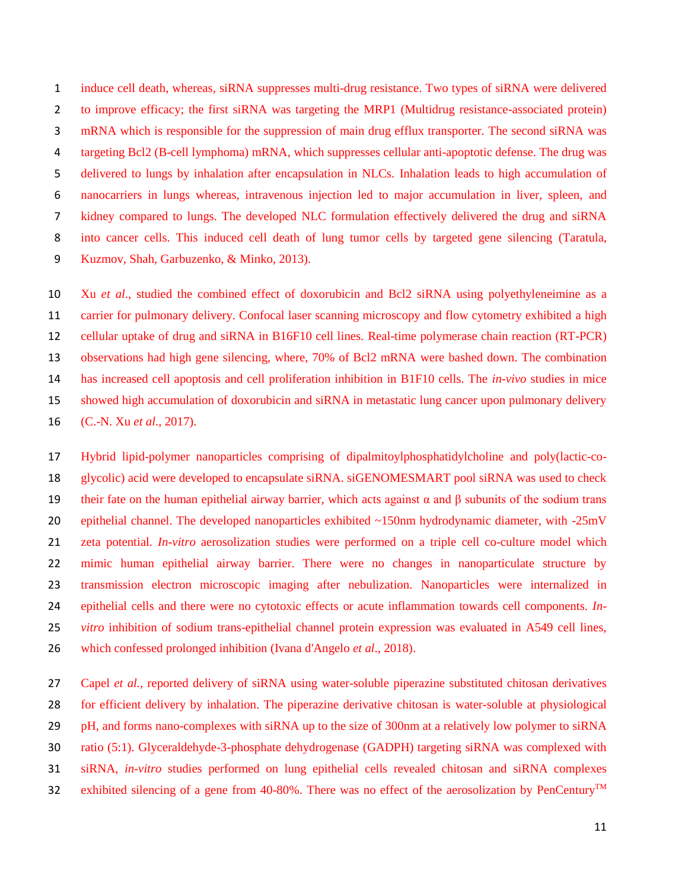induce cell death, whereas, siRNA suppresses multi-drug resistance. Two types of siRNA were delivered to improve efficacy; the first siRNA was targeting the MRP1 (Multidrug resistance-associated protein) mRNA which is responsible for the suppression of main drug efflux transporter. The second siRNA was targeting Bcl2 (B-cell lymphoma) mRNA, which suppresses cellular anti-apoptotic defense. The drug was delivered to lungs by inhalation after encapsulation in NLCs. Inhalation leads to high accumulation of nanocarriers in lungs whereas, intravenous injection led to major accumulation in liver, spleen, and kidney compared to lungs. The developed NLC formulation effectively delivered the drug and siRNA into cancer cells. This induced cell death of lung tumor cells by targeted gene silencing [\(Taratula,](#page-24-13)  [Kuzmov, Shah, Garbuzenko, & Minko, 2013\)](#page-24-13).

 Xu *et al*., studied the combined effect of doxorubicin and Bcl2 siRNA using polyethyleneimine as a 11 carrier for pulmonary delivery. Confocal laser scanning microscopy and flow cytometry exhibited a high cellular uptake of drug and siRNA in B16F10 cell lines. Real-time polymerase chain reaction (RT-PCR) observations had high gene silencing, where, 70% of Bcl2 mRNA were bashed down. The combination has increased cell apoptosis and cell proliferation inhibition in B1F10 cells. The *in-vivo* studies in mice showed high accumulation of doxorubicin and siRNA in metastatic lung cancer upon pulmonary delivery [\(C.-N. Xu](#page-25-12) *et al*., 2017).

 Hybrid lipid-polymer nanoparticles comprising of dipalmitoylphosphatidylcholine and poly(lactic-co- glycolic) acid were developed to encapsulate siRNA. siGENOMESMART pool siRNA was used to check 19 their fate on the human epithelial airway barrier, which acts against α and β subunits of the sodium trans 20 epithelial channel. The developed nanoparticles exhibited ~150nm hydrodynamic diameter, with -25mV zeta potential. *In-vitro* aerosolization studies were performed on a triple cell co-culture model which mimic human epithelial airway barrier. There were no changes in nanoparticulate structure by transmission electron microscopic imaging after nebulization. Nanoparticles were internalized in epithelial cells and there were no cytotoxic effects or acute inflammation towards cell components. *In- vitro* inhibition of sodium trans-epithelial channel protein expression was evaluated in A549 cell lines, which confessed prolonged inhibition [\(Ivana d'Angelo](#page-18-9) *et al*., 2018).

 Capel *et al.,* reported delivery of siRNA using water-soluble piperazine substituted chitosan derivatives for efficient delivery by inhalation. The piperazine derivative chitosan is water-soluble at physiological pH, and forms nano-complexes with siRNA up to the size of 300nm at a relatively low polymer to siRNA ratio (5:1). Glyceraldehyde-3-phosphate dehydrogenase (GADPH) targeting siRNA was complexed with siRNA, *in-vitro* studies performed on lung epithelial cells revealed chitosan and siRNA complexes 32 exhibited silencing of a gene from 40-80%. There was no effect of the aerosolization by PenCentury<sup>TM</sup>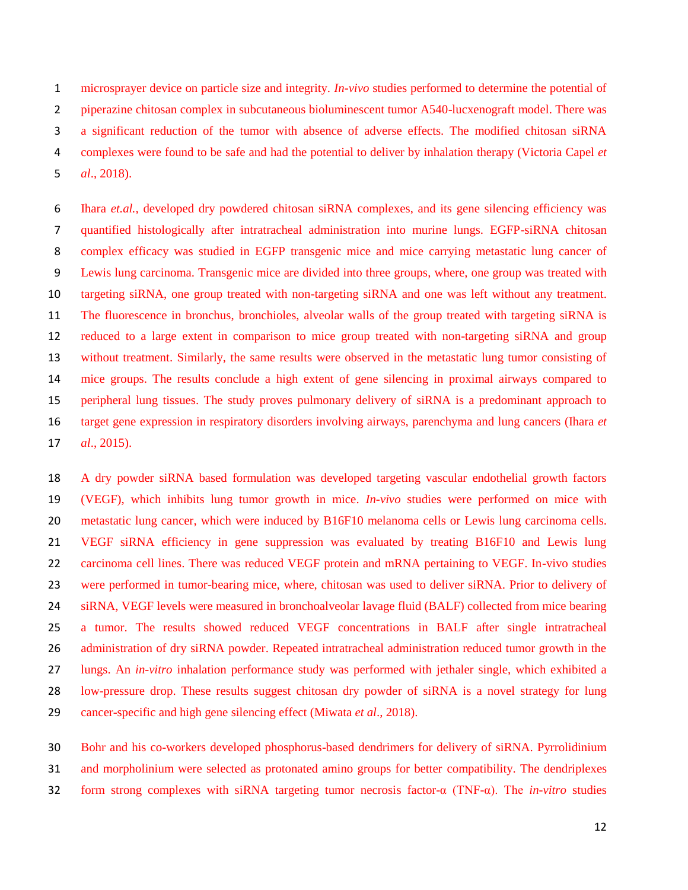microsprayer device on particle size and integrity. *In-vivo* studies performed to determine the potential of piperazine chitosan complex in subcutaneous bioluminescent tumor A540-lucxenograft model. There was a significant reduction of the tumor with absence of adverse effects. The modified chitosan siRNA complexes were found to be safe and had the potential to deliver by inhalation therapy [\(Victoria Capel](#page-18-10) *et al*[., 2018\)](#page-18-10).

 Ihara *et.al.,* developed dry powdered chitosan siRNA complexes, and its gene silencing efficiency was quantified histologically after intratracheal administration into murine lungs. EGFP-siRNA chitosan complex efficacy was studied in EGFP transgenic mice and mice carrying metastatic lung cancer of Lewis lung carcinoma. Transgenic mice are divided into three groups, where, one group was treated with targeting siRNA, one group treated with non-targeting siRNA and one was left without any treatment. The fluorescence in bronchus, bronchioles, alveolar walls of the group treated with targeting siRNA is reduced to a large extent in comparison to mice group treated with non-targeting siRNA and group without treatment. Similarly, the same results were observed in the metastatic lung tumor consisting of mice groups. The results conclude a high extent of gene silencing in proximal airways compared to peripheral lung tissues. The study proves pulmonary delivery of siRNA is a predominant approach to target gene expression in respiratory disorders involving airways, parenchyma and lung cancers [\(Ihara](#page-20-8) *et al*[., 2015\)](#page-20-8).

 A dry powder siRNA based formulation was developed targeting vascular endothelial growth factors (VEGF), which inhibits lung tumor growth in mice. *In-vivo* studies were performed on mice with metastatic lung cancer, which were induced by B16F10 melanoma cells or Lewis lung carcinoma cells. VEGF siRNA efficiency in gene suppression was evaluated by treating B16F10 and Lewis lung 22 carcinoma cell lines. There was reduced VEGF protein and mRNA pertaining to VEGF. In-vivo studies were performed in tumor-bearing mice, where, chitosan was used to deliver siRNA. Prior to delivery of siRNA, VEGF levels were measured in bronchoalveolar lavage fluid (BALF) collected from mice bearing a tumor. The results showed reduced VEGF concentrations in BALF after single intratracheal administration of dry siRNA powder. Repeated intratracheal administration reduced tumor growth in the lungs. An *in-vitro* inhalation performance study was performed with jethaler single, which exhibited a low-pressure drop. These results suggest chitosan dry powder of siRNA is a novel strategy for lung cancer-specific and high gene silencing effect [\(Miwata](#page-22-15) *et al*., 2018).

 Bohr and his co-workers developed phosphorus-based dendrimers for delivery of siRNA. Pyrrolidinium and morpholinium were selected as protonated amino groups for better compatibility. The dendriplexes form strong complexes with siRNA targeting tumor necrosis factor-α (TNF-α). The *in-vitro* studies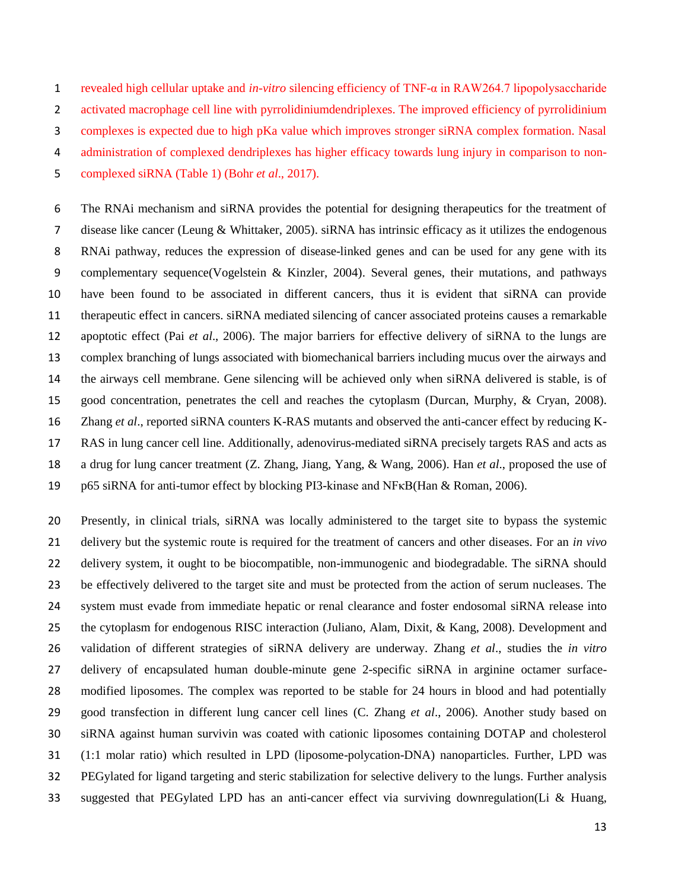revealed high cellular uptake and *in-vitro* silencing efficiency of TNF-α in RAW264.7 lipopolysaccharide activated macrophage cell line with pyrrolidiniumdendriplexes. The improved efficiency of pyrrolidinium complexes is expected due to high pKa value which improves stronger siRNA complex formation. Nasal administration of complexed dendriplexes has higher efficacy towards lung injury in comparison to non-complexed siRNA (Table 1) (Bohr *et al*[., 2017\)](#page-17-10).

 The RNAi mechanism and siRNA provides the potential for designing therapeutics for the treatment of disease like cancer [\(Leung & Whittaker, 2005\)](#page-21-9). siRNA has intrinsic efficacy as it utilizes the endogenous RNAi pathway, reduces the expression of disease-linked genes and can be used for any gene with its complementary sequence[\(Vogelstein & Kinzler, 2004\)](#page-24-14). Several genes, their mutations, and pathways have been found to be associated in different cancers, thus it is evident that siRNA can provide therapeutic effect in cancers. siRNA mediated silencing of cancer associated proteins causes a remarkable apoptotic effect (Pai *et al*[., 2006\)](#page-23-12). The major barriers for effective delivery of siRNA to the lungs are complex branching of lungs associated with biomechanical barriers including mucus over the airways and the airways cell membrane. Gene silencing will be achieved only when siRNA delivered is stable, is of good concentration, penetrates the cell and reaches the cytoplasm [\(Durcan, Murphy, & Cryan, 2008\)](#page-20-9). Zhang *et al*., reported siRNA counters K-RAS mutants and observed the anti-cancer effect by reducing K- RAS in lung cancer cell line. Additionally, adenovirus-mediated siRNA precisely targets RAS and acts as a drug for lung cancer treatment [\(Z. Zhang, Jiang, Yang, & Wang, 2006\)](#page-26-2). Han *et al*., proposed the use of p65 siRNA for anti-tumor effect by blocking PI3-kinase and NFκB[\(Han & Roman, 2006\)](#page-20-10).

 Presently, in clinical trials, siRNA was locally administered to the target site to bypass the systemic delivery but the systemic route is required for the treatment of cancers and other diseases. For an *in vivo* delivery system, it ought to be biocompatible, non-immunogenic and biodegradable. The siRNA should be effectively delivered to the target site and must be protected from the action of serum nucleases. The system must evade from immediate hepatic or renal clearance and foster endosomal siRNA release into the cytoplasm for endogenous RISC interaction [\(Juliano, Alam, Dixit,](#page-21-10) & Kang, 2008). Development and validation of different strategies of siRNA delivery are underway. Zhang *et al*., studies the *in vitro* delivery of encapsulated human double-minute gene 2-specific siRNA in arginine octamer surface- modified liposomes. The complex was reported to be stable for 24 hours in blood and had potentially good transfection in different lung cancer cell lines [\(C. Zhang](#page-26-3) *et al*., 2006). Another study based on siRNA against human survivin was coated with cationic liposomes containing DOTAP and cholesterol (1:1 molar ratio) which resulted in LPD (liposome-polycation-DNA) nanoparticles. Further, LPD was PEGylated for ligand targeting and steric stabilization for selective delivery to the lungs. Further analysis suggested that PEGylated LPD has an anti-cancer effect via surviving downregulation[\(Li & Huang,](#page-21-11)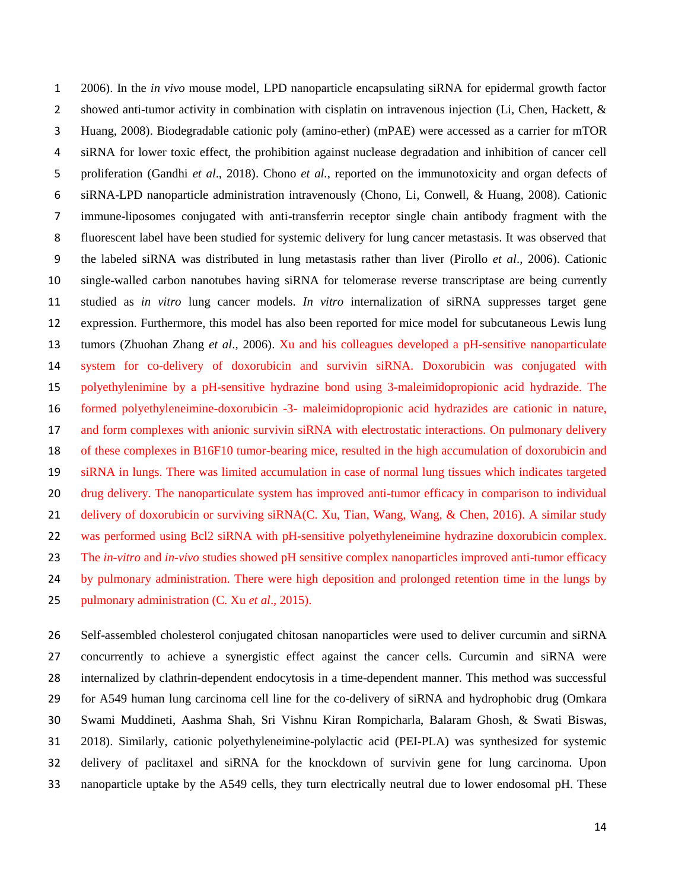[2006\)](#page-21-11). In the *in vivo* mouse model, LPD nanoparticle encapsulating siRNA for epidermal growth factor 2 showed anti-tumor activity in combination with cisplatin on intravenous injection (Li, Chen, Hackett, & [Huang, 2008\)](#page-21-12). Biodegradable cationic poly (amino-ether) (mPAE) were accessed as a carrier for mTOR siRNA for lower toxic effect, the prohibition against nuclease degradation and inhibition of cancer cell proliferation [\(Gandhi](#page-20-7) *et al*., 2018). Chono *et al.,* reported on the immunotoxicity and organ defects of siRNA-LPD nanoparticle administration intravenously [\(Chono, Li, Conwell, & Huang, 2008\)](#page-18-11). Cationic immune-liposomes conjugated with anti-transferrin receptor single chain antibody fragment with the fluorescent label have been studied for systemic delivery for lung cancer metastasis. It was observed that the labeled siRNA was distributed in lung metastasis rather than liver [\(Pirollo](#page-23-13) *et al*., 2006). Cationic single-walled carbon nanotubes having siRNA for telomerase reverse transcriptase are being currently studied as *in vitro* lung cancer models. *In vitro* internalization of siRNA suppresses target gene expression. Furthermore, this model has also been reported for mice model for subcutaneous Lewis lung tumors [\(Zhuohan Zhang](#page-26-4) *et al*., 2006). Xu and his colleagues developed a pH-sensitive nanoparticulate system for co-delivery of doxorubicin and survivin siRNA. Doxorubicin was conjugated with polyethylenimine by a pH-sensitive hydrazine bond using 3-maleimidopropionic acid hydrazide. The formed polyethyleneimine-doxorubicin -3- maleimidopropionic acid hydrazides are cationic in nature, and form complexes with anionic survivin siRNA with electrostatic interactions. On pulmonary delivery of these complexes in B16F10 tumor-bearing mice, resulted in the high accumulation of doxorubicin and siRNA in lungs. There was limited accumulation in case of normal lung tissues which indicates targeted drug delivery. The nanoparticulate system has improved anti-tumor efficacy in comparison to individual 21 delivery of doxorubicin or surviving siRNA[\(C. Xu, Tian, Wang, Wang, & Chen, 2016\)](#page-25-13). A similar study was performed using Bcl2 siRNA with pH-sensitive polyethyleneimine hydrazine doxorubicin complex. The *in-vitro* and *in-vivo* studies showed pH sensitive complex nanoparticles improved anti-tumor efficacy by pulmonary administration. There were high deposition and prolonged retention time in the lungs by pulmonary administration (C. Xu *et al*[., 2015\)](#page-25-14).

 Self-assembled cholesterol conjugated chitosan nanoparticles were used to deliver curcumin and siRNA concurrently to achieve a synergistic effect against the cancer cells. Curcumin and siRNA were internalized by clathrin-dependent endocytosis in a time-dependent manner. This method was successful for A549 human lung carcinoma cell line for the co-delivery of siRNA and hydrophobic drug [\(Omkara](#page-22-16)  [Swami Muddineti, Aashma Shah, Sri Vishnu Kiran Rompicharla, Balaram Ghosh, & Swati Biswas,](#page-22-16)  [2018\)](#page-22-16). Similarly, cationic polyethyleneimine-polylactic acid (PEI-PLA) was synthesized for systemic delivery of paclitaxel and siRNA for the knockdown of survivin gene for lung carcinoma. Upon nanoparticle uptake by the A549 cells, they turn electrically neutral due to lower endosomal pH. These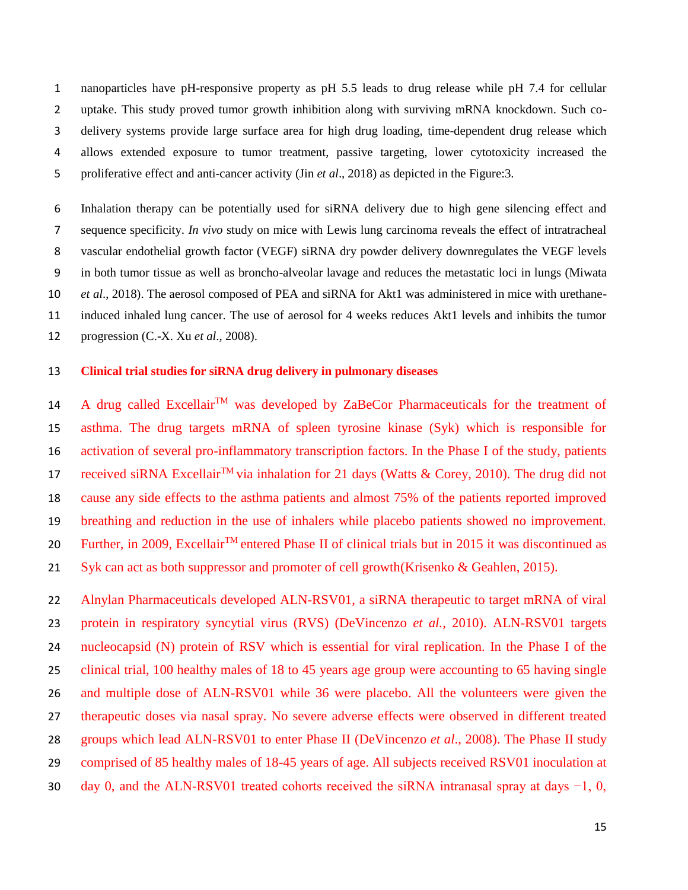nanoparticles have pH-responsive property as pH 5.5 leads to drug release while pH 7.4 for cellular uptake. This study proved tumor growth inhibition along with surviving mRNA knockdown. Such co- delivery systems provide large surface area for high drug loading, time-dependent drug release which allows extended exposure to tumor treatment, passive targeting, lower cytotoxicity increased the proliferative effect and anti-cancer activity (Jin *et al*[., 2018\)](#page-21-3) as depicted in the Figure:3.

 Inhalation therapy can be potentially used for siRNA delivery due to high gene silencing effect and sequence specificity. *In vivo* study on mice with Lewis lung carcinoma reveals the effect of intratracheal vascular endothelial growth factor (VEGF) siRNA dry powder delivery downregulates the VEGF levels in both tumor tissue as well as broncho-alveolar lavage and reduces the metastatic loci in lungs [\(Miwata](#page-22-15)  *et al*[., 2018\)](#page-22-15). The aerosol composed of PEA and siRNA for Akt1 was administered in mice with urethane- induced inhaled lung cancer. The use of aerosol for 4 weeks reduces Akt1 levels and inhibits the tumor progression [\(C.-X. Xu](#page-25-15) *et al*., 2008).

# **Clinical trial studies for siRNA drug delivery in pulmonary diseases**

14 A drug called Excellair<sup>TM</sup> was developed by ZaBeCor Pharmaceuticals for the treatment of asthma. The drug targets mRNA of spleen tyrosine kinase (Syk) which is responsible for activation of several pro-inflammatory transcription factors. In the Phase I of the study, patients 17 received siRNA Excellair<sup>TM</sup> via inhalation for 21 days [\(Watts & Corey, 2010\)](#page-25-16). The drug did not cause any side effects to the asthma patients and almost 75% of the patients reported improved breathing and reduction in the use of inhalers while placebo patients showed no improvement. 20 Further, in 2009, Excellair<sup>TM</sup> entered Phase II of clinical trials but in 2015 it was discontinued as Syk can act as both suppressor and promoter of cell growth[\(Krisenko & Geahlen, 2015\)](#page-21-13).

 Alnylan Pharmaceuticals developed ALN-RSV01, a siRNA therapeutic to target mRNA of viral protein in respiratory syncytial virus (RVS) [\(DeVincenzo](#page-19-14) *et al.*, 2010). ALN-RSV01 targets nucleocapsid (N) protein of RSV which is essential for viral replication. In the Phase I of the clinical trial, 100 healthy males of 18 to 45 years age group were accounting to 65 having single and multiple dose of ALN-RSV01 while 36 were placebo. All the volunteers were given the therapeutic doses via nasal spray. No severe adverse effects were observed in different treated groups which lead ALN-RSV01 to enter Phase II [\(DeVincenzo](#page-19-15) *et al*., 2008). The Phase II study comprised of 85 healthy males of 18-45 years of age. All subjects received RSV01 inoculation at day 0, and the ALN-RSV01 treated cohorts received the siRNA intranasal spray at days −1, 0,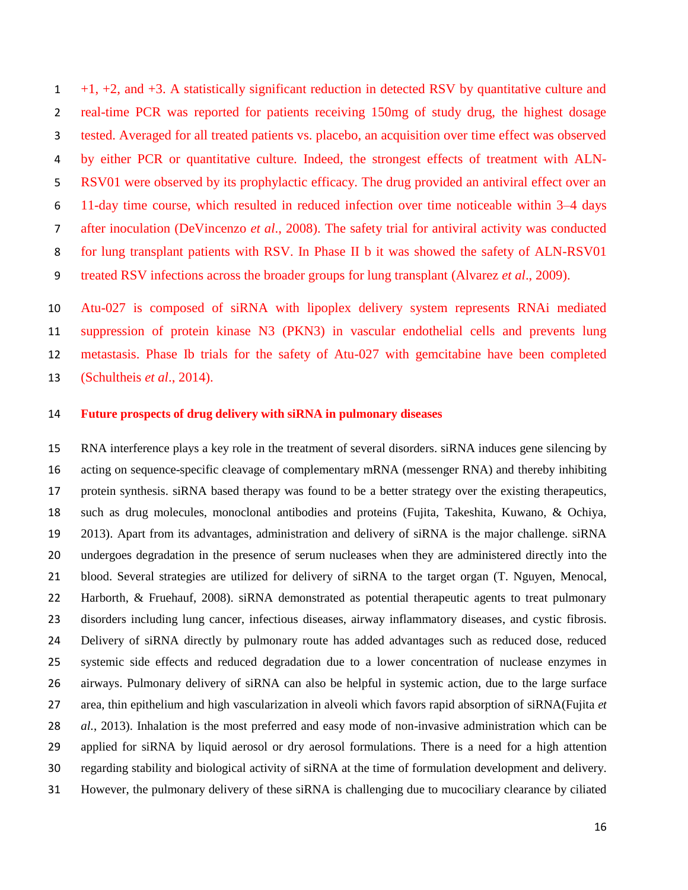+1, +2, and +3. A statistically significant reduction in detected RSV by quantitative culture and real-time PCR was reported for patients receiving 150mg of study drug, the highest dosage tested. Averaged for all treated patients vs. placebo, an acquisition over time effect was observed by either PCR or quantitative culture. Indeed, the strongest effects of treatment with ALN- RSV01 were observed by its prophylactic efficacy. The drug provided an antiviral effect over an 11-day time course, which resulted in reduced infection over time noticeable within 3–4 days after inoculation [\(DeVincenzo](#page-19-15) *et al*., 2008). The safety trial for antiviral activity was conducted for lung transplant patients with RSV. In Phase II b it was showed the safety of ALN-RSV01 treated RSV infections across the broader groups for lung transplant [\(Alvarez](#page-17-11) *et al*., 2009).

 Atu-027 is composed of siRNA with lipoplex delivery system represents RNAi mediated suppression of protein kinase N3 (PKN3) in vascular endothelial cells and prevents lung metastasis. Phase Ib trials for the safety of Atu-027 with gemcitabine have been completed [\(Schultheis](#page-24-15) *et al*., 2014).

# **Future prospects of drug delivery with siRNA in pulmonary diseases**

 RNA interference plays a key role in the treatment of several disorders. siRNA induces gene silencing by acting on sequence-specific cleavage of complementary mRNA (messenger RNA) and thereby inhibiting protein synthesis. siRNA based therapy was found to be a better strategy over the existing therapeutics, such as drug molecules, monoclonal antibodies and proteins [\(Fujita, Takeshita, Kuwano, & Ochiya,](#page-20-11)  [2013\)](#page-20-11). Apart from its advantages, administration and delivery of siRNA is the major challenge. siRNA undergoes degradation in the presence of serum nucleases when they are administered directly into the blood. Several strategies are utilized for delivery of siRNA to the target organ [\(T. Nguyen, Menocal,](#page-22-17)  [Harborth, & Fruehauf, 2008\)](#page-22-17). siRNA demonstrated as potential therapeutic agents to treat pulmonary disorders including lung cancer, infectious diseases, airway inflammatory diseases, and cystic fibrosis. Delivery of siRNA directly by pulmonary route has added advantages such as reduced dose, reduced systemic side effects and reduced degradation due to a lower concentration of nuclease enzymes in airways. Pulmonary delivery of siRNA can also be helpful in systemic action, due to the large surface area, thin epithelium and high vascularization in alveoli which favors rapid absorption of siRNA[\(Fujita](#page-20-11) *et al.*[, 2013\)](#page-20-11). Inhalation is the most preferred and easy mode of non-invasive administration which can be applied for siRNA by liquid aerosol or dry aerosol formulations. There is a need for a high attention regarding stability and biological activity of siRNA at the time of formulation development and delivery. However, the pulmonary delivery of these siRNA is challenging due to mucociliary clearance by ciliated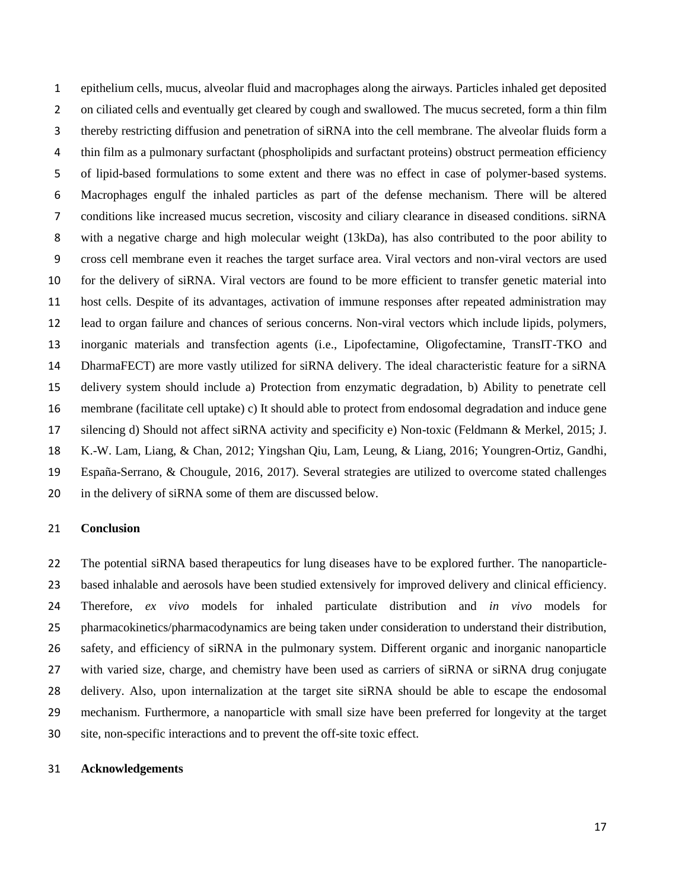epithelium cells, mucus, alveolar fluid and macrophages along the airways. Particles inhaled get deposited on ciliated cells and eventually get cleared by cough and swallowed. The mucus secreted, form a thin film thereby restricting diffusion and penetration of siRNA into the cell membrane. The alveolar fluids form a thin film as a pulmonary surfactant (phospholipids and surfactant proteins) obstruct permeation efficiency of lipid-based formulations to some extent and there was no effect in case of polymer-based systems. Macrophages engulf the inhaled particles as part of the defense mechanism. There will be altered conditions like increased mucus secretion, viscosity and ciliary clearance in diseased conditions. siRNA with a negative charge and high molecular weight (13kDa), has also contributed to the poor ability to cross cell membrane even it reaches the target surface area. Viral vectors and non-viral vectors are used for the delivery of siRNA. Viral vectors are found to be more efficient to transfer genetic material into host cells. Despite of its advantages, activation of immune responses after repeated administration may lead to organ failure and chances of serious concerns. Non-viral vectors which include lipids, polymers, inorganic materials and transfection agents (i.e., Lipofectamine, Oligofectamine, TransIT-TKO and DharmaFECT) are more vastly utilized for siRNA delivery. The ideal characteristic feature for a siRNA delivery system should include a) Protection from enzymatic degradation, b) Ability to penetrate cell membrane (facilitate cell uptake) c) It should able to protect from endosomal degradation and induce gene silencing d) Should not affect siRNA activity and specificity e) Non-toxic [\(Feldmann & Merkel, 2015;](#page-20-12) [J.](#page-21-14)  [K.-W. Lam, Liang, & Chan, 2012;](#page-21-14) [Yingshan Qiu, Lam, Leung, & Liang, 2016;](#page-23-14) [Youngren-Ortiz, Gandhi,](#page-26-5)  [España-Serrano, & Chougule, 2016,](#page-26-5) [2017\)](#page-26-6). Several strategies are utilized to overcome stated challenges in the delivery of siRNA some of them are discussed below.

# **Conclusion**

 The potential siRNA based therapeutics for lung diseases have to be explored further. The nanoparticle- based inhalable and aerosols have been studied extensively for improved delivery and clinical efficiency. Therefore, *ex vivo* models for inhaled particulate distribution and *in vivo* models for pharmacokinetics/pharmacodynamics are being taken under consideration to understand their distribution, safety, and efficiency of siRNA in the pulmonary system. Different organic and inorganic nanoparticle with varied size, charge, and chemistry have been used as carriers of siRNA or siRNA drug conjugate delivery. Also, upon internalization at the target site siRNA should be able to escape the endosomal mechanism. Furthermore, a nanoparticle with small size have been preferred for longevity at the target site, non-specific interactions and to prevent the off-site toxic effect.

#### **Acknowledgements**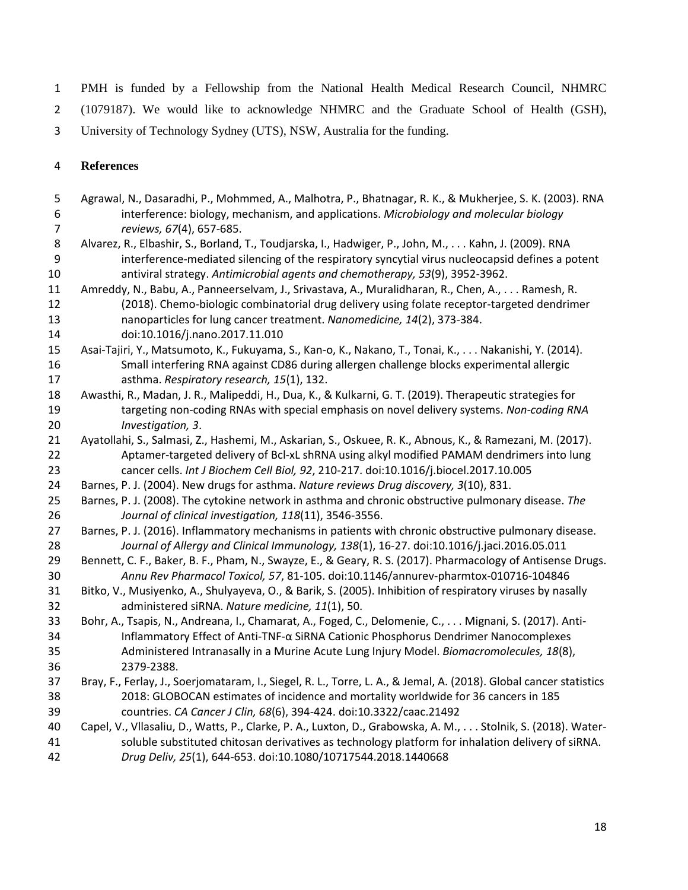PMH is funded by a Fellowship from the National Health Medical Research Council, NHMRC

- (1079187). We would like to acknowledge NHMRC and the Graduate School of Health (GSH),
- University of Technology Sydney (UTS), NSW, Australia for the funding.

# **References**

- <span id="page-17-9"></span> Agrawal, N., Dasaradhi, P., Mohmmed, A., Malhotra, P., Bhatnagar, R. K., & Mukherjee, S. K. (2003). RNA interference: biology, mechanism, and applications. *Microbiology and molecular biology reviews, 67*(4), 657-685. Alvarez, R., Elbashir, S., Borland, T., Toudjarska, I., Hadwiger, P., John, M., . . . Kahn, J. (2009). RNA
- <span id="page-17-11"></span> interference-mediated silencing of the respiratory syncytial virus nucleocapsid defines a potent antiviral strategy. *Antimicrobial agents and chemotherapy, 53*(9), 3952-3962.
- <span id="page-17-4"></span> Amreddy, N., Babu, A., Panneerselvam, J., Srivastava, A., Muralidharan, R., Chen, A., . . . Ramesh, R. (2018). Chemo-biologic combinatorial drug delivery using folate receptor-targeted dendrimer nanoparticles for lung cancer treatment. *Nanomedicine, 14*(2), 373-384.
- doi:10.1016/j.nano.2017.11.010
- <span id="page-17-13"></span> Asai-Tajiri, Y., Matsumoto, K., Fukuyama, S., Kan-o, K., Nakano, T., Tonai, K., . . . Nakanishi, Y. (2014). Small interfering RNA against CD86 during allergen challenge blocks experimental allergic asthma. *Respiratory research, 15*(1), 132.
- <span id="page-17-3"></span> Awasthi, R., Madan, J. R., Malipeddi, H., Dua, K., & Kulkarni, G. T. (2019). Therapeutic strategies for targeting non-coding RNAs with special emphasis on novel delivery systems. *Non-coding RNA Investigation, 3*.
- <span id="page-17-5"></span> Ayatollahi, S., Salmasi, Z., Hashemi, M., Askarian, S., Oskuee, R. K., Abnous, K., & Ramezani, M. (2017). Aptamer-targeted delivery of Bcl-xL shRNA using alkyl modified PAMAM dendrimers into lung cancer cells. *Int J Biochem Cell Biol, 92*, 210-217. doi:10.1016/j.biocel.2017.10.005
- <span id="page-17-7"></span>Barnes, P. J. (2004). New drugs for asthma. *Nature reviews Drug discovery, 3*(10), 831.
- <span id="page-17-8"></span> Barnes, P. J. (2008). The cytokine network in asthma and chronic obstructive pulmonary disease. *The Journal of clinical investigation, 118*(11), 3546-3556.
- <span id="page-17-0"></span> Barnes, P. J. (2016). Inflammatory mechanisms in patients with chronic obstructive pulmonary disease. *Journal of Allergy and Clinical Immunology, 138*(1), 16-27. doi:10.1016/j.jaci.2016.05.011
- <span id="page-17-2"></span> Bennett, C. F., Baker, B. F., Pham, N., Swayze, E., & Geary, R. S. (2017). Pharmacology of Antisense Drugs. *Annu Rev Pharmacol Toxicol, 57*, 81-105. doi:10.1146/annurev-pharmtox-010716-104846
- <span id="page-17-12"></span> Bitko, V., Musiyenko, A., Shulyayeva, O., & Barik, S. (2005). Inhibition of respiratory viruses by nasally administered siRNA. *Nature medicine, 11*(1), 50.
- <span id="page-17-10"></span> Bohr, A., Tsapis, N., Andreana, I., Chamarat, A., Foged, C., Delomenie, C., . . . Mignani, S. (2017). Anti- Inflammatory Effect of Anti-TNF-α SiRNA Cationic Phosphorus Dendrimer Nanocomplexes Administered Intranasally in a Murine Acute Lung Injury Model. *Biomacromolecules, 18*(8), 2379-2388.
- <span id="page-17-1"></span> Bray, F., Ferlay, J., Soerjomataram, I., Siegel, R. L., Torre, L. A., & Jemal, A. (2018). Global cancer statistics 2018: GLOBOCAN estimates of incidence and mortality worldwide for 36 cancers in 185 countries. *CA Cancer J Clin, 68*(6), 394-424. doi:10.3322/caac.21492
- <span id="page-17-6"></span> Capel, V., Vllasaliu, D., Watts, P., Clarke, P. A., Luxton, D., Grabowska, A. M., . . . Stolnik, S. (2018). Water- soluble substituted chitosan derivatives as technology platform for inhalation delivery of siRNA. *Drug Deliv, 25*(1), 644-653. doi:10.1080/10717544.2018.1440668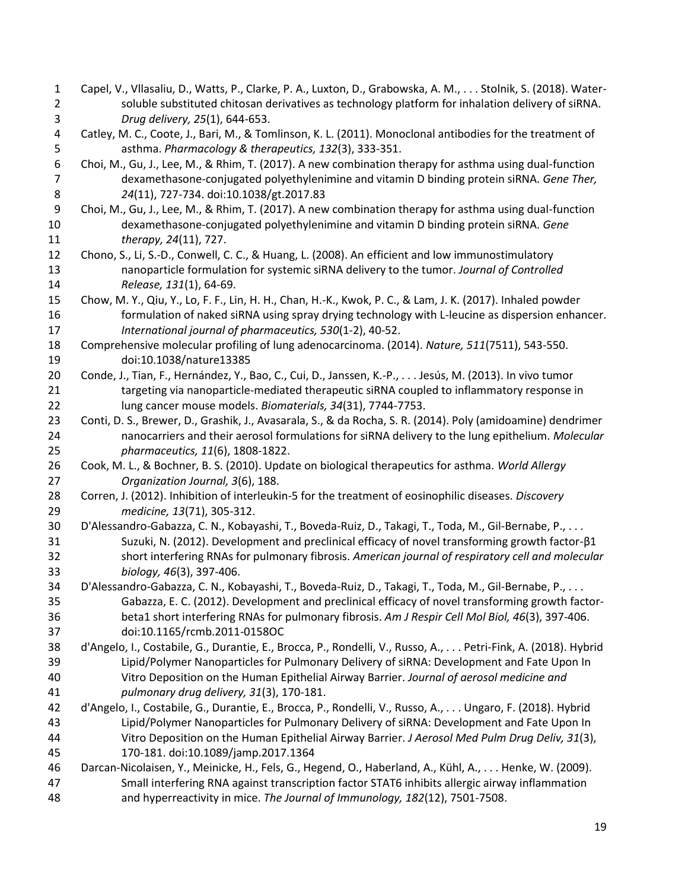<span id="page-18-15"></span><span id="page-18-14"></span><span id="page-18-13"></span><span id="page-18-12"></span><span id="page-18-11"></span><span id="page-18-10"></span><span id="page-18-9"></span><span id="page-18-8"></span><span id="page-18-7"></span><span id="page-18-6"></span><span id="page-18-5"></span><span id="page-18-4"></span><span id="page-18-3"></span><span id="page-18-2"></span><span id="page-18-1"></span><span id="page-18-0"></span> Capel, V., Vllasaliu, D., Watts, P., Clarke, P. A., Luxton, D., Grabowska, A. M., . . . Stolnik, S. (2018). Water- soluble substituted chitosan derivatives as technology platform for inhalation delivery of siRNA. *Drug delivery, 25*(1), 644-653. Catley, M. C., Coote, J., Bari, M., & Tomlinson, K. L. (2011). Monoclonal antibodies for the treatment of asthma. *Pharmacology & therapeutics, 132*(3), 333-351. Choi, M., Gu, J., Lee, M., & Rhim, T. (2017). A new combination therapy for asthma using dual-function dexamethasone-conjugated polyethylenimine and vitamin D binding protein siRNA. *Gene Ther, 24*(11), 727-734. doi:10.1038/gt.2017.83 Choi, M., Gu, J., Lee, M., & Rhim, T. (2017). A new combination therapy for asthma using dual-function dexamethasone-conjugated polyethylenimine and vitamin D binding protein siRNA. *Gene therapy, 24*(11), 727. Chono, S., Li, S.-D., Conwell, C. C., & Huang, L. (2008). An efficient and low immunostimulatory nanoparticle formulation for systemic siRNA delivery to the tumor. *Journal of Controlled Release, 131*(1), 64-69. Chow, M. Y., Qiu, Y., Lo, F. F., Lin, H. H., Chan, H.-K., Kwok, P. C., & Lam, J. K. (2017). Inhaled powder formulation of naked siRNA using spray drying technology with L-leucine as dispersion enhancer. *International journal of pharmaceutics, 530*(1-2), 40-52. Comprehensive molecular profiling of lung adenocarcinoma. (2014). *Nature, 511*(7511), 543-550. doi:10.1038/nature13385 Conde, J., Tian, F., Hernández, Y., Bao, C., Cui, D., Janssen, K.-P., . . . Jesús, M. (2013). In vivo tumor 21 targeting via nanoparticle-mediated therapeutic siRNA coupled to inflammatory response in lung cancer mouse models. *Biomaterials, 34*(31), 7744-7753. Conti, D. S., Brewer, D., Grashik, J., Avasarala, S., & da Rocha, S. R. (2014). Poly (amidoamine) dendrimer nanocarriers and their aerosol formulations for siRNA delivery to the lung epithelium. *Molecular pharmaceutics, 11*(6), 1808-1822. Cook, M. L., & Bochner, B. S. (2010). Update on biological therapeutics for asthma. *World Allergy Organization Journal, 3*(6), 188. Corren, J. (2012). Inhibition of interleukin-5 for the treatment of eosinophilic diseases. *Discovery medicine, 13*(71), 305-312. D'Alessandro-Gabazza, C. N., Kobayashi, T., Boveda-Ruiz, D., Takagi, T., Toda, M., Gil-Bernabe, P., . . . Suzuki, N. (2012). Development and preclinical efficacy of novel transforming growth factor-β1 short interfering RNAs for pulmonary fibrosis. *American journal of respiratory cell and molecular biology, 46*(3), 397-406. D'Alessandro-Gabazza, C. N., Kobayashi, T., Boveda-Ruiz, D., Takagi, T., Toda, M., Gil-Bernabe, P., . . . Gabazza, E. C. (2012). Development and preclinical efficacy of novel transforming growth factor- beta1 short interfering RNAs for pulmonary fibrosis. *Am J Respir Cell Mol Biol, 46*(3), 397-406. doi:10.1165/rcmb.2011-0158OC d'Angelo, I., Costabile, G., Durantie, E., Brocca, P., Rondelli, V., Russo, A., . . . Petri-Fink, A. (2018). Hybrid Lipid/Polymer Nanoparticles for Pulmonary Delivery of siRNA: Development and Fate Upon In Vitro Deposition on the Human Epithelial Airway Barrier. *Journal of aerosol medicine and pulmonary drug delivery, 31*(3), 170-181. d'Angelo, I., Costabile, G., Durantie, E., Brocca, P., Rondelli, V., Russo, A., . . . Ungaro, F. (2018). Hybrid Lipid/Polymer Nanoparticles for Pulmonary Delivery of siRNA: Development and Fate Upon In Vitro Deposition on the Human Epithelial Airway Barrier. *J Aerosol Med Pulm Drug Deliv, 31*(3), 170-181. doi:10.1089/jamp.2017.1364 Darcan-Nicolaisen, Y., Meinicke, H., Fels, G., Hegend, O., Haberland, A., Kühl, A., . . . Henke, W. (2009). Small interfering RNA against transcription factor STAT6 inhibits allergic airway inflammation and hyperreactivity in mice. *The Journal of Immunology, 182*(12), 7501-7508.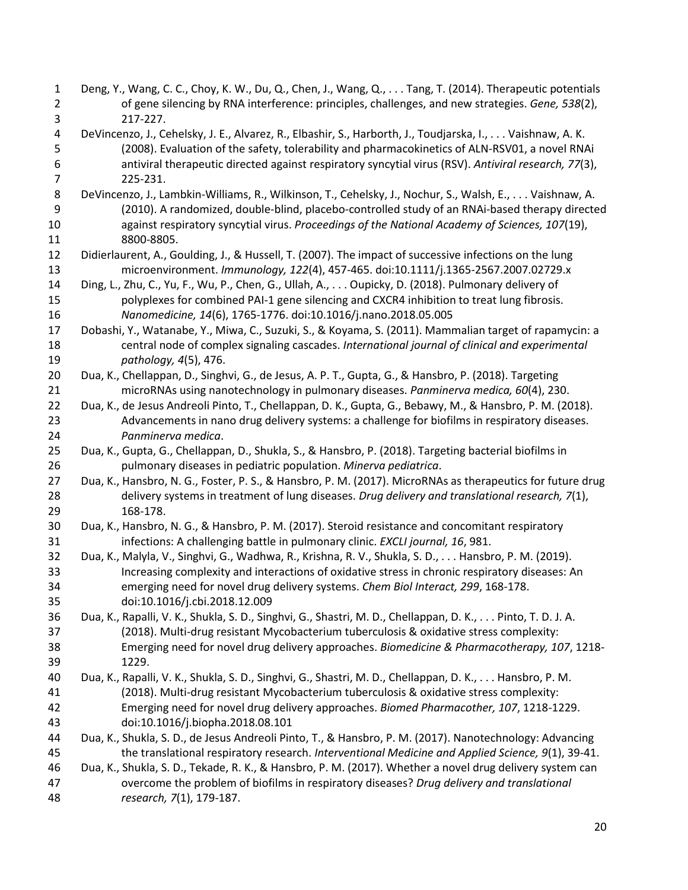<span id="page-19-15"></span><span id="page-19-14"></span><span id="page-19-13"></span><span id="page-19-12"></span><span id="page-19-11"></span><span id="page-19-10"></span><span id="page-19-9"></span><span id="page-19-8"></span><span id="page-19-7"></span><span id="page-19-6"></span><span id="page-19-5"></span><span id="page-19-4"></span><span id="page-19-3"></span><span id="page-19-2"></span><span id="page-19-1"></span><span id="page-19-0"></span>

| $\mathbf{1}$   | Deng, Y., Wang, C. C., Choy, K. W., Du, Q., Chen, J., Wang, Q., Tang, T. (2014). Therapeutic potentials           |
|----------------|-------------------------------------------------------------------------------------------------------------------|
| $\overline{2}$ | of gene silencing by RNA interference: principles, challenges, and new strategies. Gene, 538(2),                  |
| 3              | 217-227.                                                                                                          |
| 4              | DeVincenzo, J., Cehelsky, J. E., Alvarez, R., Elbashir, S., Harborth, J., Toudjarska, I., Vaishnaw, A. K.         |
| 5              | (2008). Evaluation of the safety, tolerability and pharmacokinetics of ALN-RSV01, a novel RNAi                    |
| 6              | antiviral therapeutic directed against respiratory syncytial virus (RSV). Antiviral research, 77(3),              |
| $\overline{7}$ | 225-231.                                                                                                          |
| 8              | DeVincenzo, J., Lambkin-Williams, R., Wilkinson, T., Cehelsky, J., Nochur, S., Walsh, E., Vaishnaw, A.            |
| 9              | (2010). A randomized, double-blind, placebo-controlled study of an RNAi-based therapy directed                    |
| 10             | against respiratory syncytial virus. Proceedings of the National Academy of Sciences, 107(19),                    |
| 11             | 8800-8805.                                                                                                        |
| 12             | Didierlaurent, A., Goulding, J., & Hussell, T. (2007). The impact of successive infections on the lung            |
| 13             | microenvironment. Immunology, 122(4), 457-465. doi:10.1111/j.1365-2567.2007.02729.x                               |
| 14             | Ding, L., Zhu, C., Yu, F., Wu, P., Chen, G., Ullah, A., Oupicky, D. (2018). Pulmonary delivery of                 |
| 15             | polyplexes for combined PAI-1 gene silencing and CXCR4 inhibition to treat lung fibrosis.                         |
| 16             | Nanomedicine, 14(6), 1765-1776. doi:10.1016/j.nano.2018.05.005                                                    |
| 17             | Dobashi, Y., Watanabe, Y., Miwa, C., Suzuki, S., & Koyama, S. (2011). Mammalian target of rapamycin: a            |
| 18             | central node of complex signaling cascades. International journal of clinical and experimental                    |
| 19             | pathology, 4(5), 476.                                                                                             |
| 20             | Dua, K., Chellappan, D., Singhvi, G., de Jesus, A. P. T., Gupta, G., & Hansbro, P. (2018). Targeting              |
| 21             | microRNAs using nanotechnology in pulmonary diseases. Panminerva medica, 60(4), 230.                              |
| 22             | Dua, K., de Jesus Andreoli Pinto, T., Chellappan, D. K., Gupta, G., Bebawy, M., & Hansbro, P. M. (2018).          |
| 23             | Advancements in nano drug delivery systems: a challenge for biofilms in respiratory diseases.                     |
| 24             | Panminerva medica.                                                                                                |
| 25             | Dua, K., Gupta, G., Chellappan, D., Shukla, S., & Hansbro, P. (2018). Targeting bacterial biofilms in             |
| 26             | pulmonary diseases in pediatric population. Minerva pediatrica.                                                   |
| 27             | Dua, K., Hansbro, N. G., Foster, P. S., & Hansbro, P. M. (2017). MicroRNAs as therapeutics for future drug        |
| 28             | delivery systems in treatment of lung diseases. Drug delivery and translational research, 7(1),                   |
| 29             | 168-178.                                                                                                          |
| 30             | Dua, K., Hansbro, N. G., & Hansbro, P. M. (2017). Steroid resistance and concomitant respiratory                  |
| 31             | infections: A challenging battle in pulmonary clinic. EXCLI journal, 16, 981.                                     |
| 32             | Dua, K., Malyla, V., Singhvi, G., Wadhwa, R., Krishna, R. V., Shukla, S. D., Hansbro, P. M. (2019).               |
| 33             | Increasing complexity and interactions of oxidative stress in chronic respiratory diseases: An                    |
| 34<br>35       | emerging need for novel drug delivery systems. Chem Biol Interact, 299, 168-178.<br>doi:10.1016/j.cbi.2018.12.009 |
| 36             | Dua, K., Rapalli, V. K., Shukla, S. D., Singhvi, G., Shastri, M. D., Chellappan, D. K., Pinto, T. D. J. A.        |
| 37             | (2018). Multi-drug resistant Mycobacterium tuberculosis & oxidative stress complexity:                            |
| 38             | Emerging need for novel drug delivery approaches. Biomedicine & Pharmacotherapy, 107, 1218-                       |
| 39             | 1229.                                                                                                             |
| 40             | Dua, K., Rapalli, V. K., Shukla, S. D., Singhvi, G., Shastri, M. D., Chellappan, D. K.,  Hansbro, P. M.           |
| 41             | (2018). Multi-drug resistant Mycobacterium tuberculosis & oxidative stress complexity:                            |
| 42             | Emerging need for novel drug delivery approaches. Biomed Pharmacother, 107, 1218-1229.                            |
| 43             | doi:10.1016/j.biopha.2018.08.101                                                                                  |
| 44             | Dua, K., Shukla, S. D., de Jesus Andreoli Pinto, T., & Hansbro, P. M. (2017). Nanotechnology: Advancing           |
| 45             | the translational respiratory research. Interventional Medicine and Applied Science, 9(1), 39-41.                 |
| 46             | Dua, K., Shukla, S. D., Tekade, R. K., & Hansbro, P. M. (2017). Whether a novel drug delivery system can          |
| 47             | overcome the problem of biofilms in respiratory diseases? Drug delivery and translational                         |
| 48             | research, 7(1), 179-187.                                                                                          |
|                |                                                                                                                   |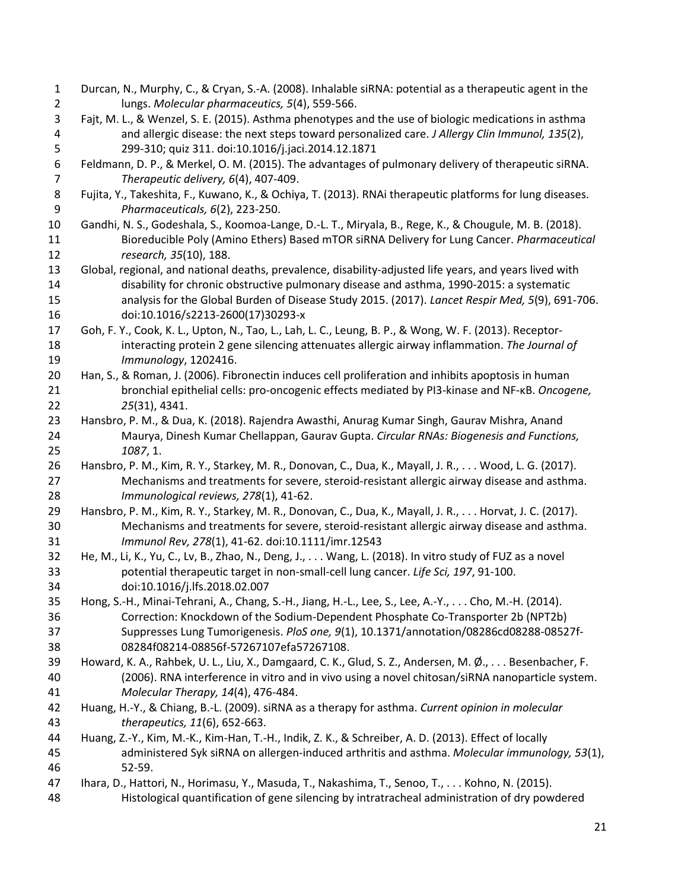<span id="page-20-16"></span><span id="page-20-15"></span><span id="page-20-14"></span><span id="page-20-13"></span><span id="page-20-12"></span><span id="page-20-11"></span><span id="page-20-10"></span><span id="page-20-9"></span><span id="page-20-8"></span><span id="page-20-7"></span><span id="page-20-6"></span><span id="page-20-5"></span><span id="page-20-4"></span><span id="page-20-3"></span><span id="page-20-2"></span><span id="page-20-1"></span><span id="page-20-0"></span> Durcan, N., Murphy, C., & Cryan, S.-A. (2008). Inhalable siRNA: potential as a therapeutic agent in the lungs. *Molecular pharmaceutics, 5*(4), 559-566. Fajt, M. L., & Wenzel, S. E. (2015). Asthma phenotypes and the use of biologic medications in asthma and allergic disease: the next steps toward personalized care. *J Allergy Clin Immunol, 135*(2), 299-310; quiz 311. doi:10.1016/j.jaci.2014.12.1871 Feldmann, D. P., & Merkel, O. M. (2015). The advantages of pulmonary delivery of therapeutic siRNA. *Therapeutic delivery, 6*(4), 407-409. Fujita, Y., Takeshita, F., Kuwano, K., & Ochiya, T. (2013). RNAi therapeutic platforms for lung diseases. *Pharmaceuticals, 6*(2), 223-250. Gandhi, N. S., Godeshala, S., Koomoa-Lange, D.-L. T., Miryala, B., Rege, K., & Chougule, M. B. (2018). Bioreducible Poly (Amino Ethers) Based mTOR siRNA Delivery for Lung Cancer. *Pharmaceutical research, 35*(10), 188. Global, regional, and national deaths, prevalence, disability-adjusted life years, and years lived with disability for chronic obstructive pulmonary disease and asthma, 1990-2015: a systematic analysis for the Global Burden of Disease Study 2015. (2017). *Lancet Respir Med, 5*(9), 691-706. doi:10.1016/s2213-2600(17)30293-x Goh, F. Y., Cook, K. L., Upton, N., Tao, L., Lah, L. C., Leung, B. P., & Wong, W. F. (2013). Receptor- interacting protein 2 gene silencing attenuates allergic airway inflammation. *The Journal of Immunology*, 1202416. Han, S., & Roman, J. (2006). Fibronectin induces cell proliferation and inhibits apoptosis in human bronchial epithelial cells: pro-oncogenic effects mediated by PI3-kinase and NF-κB. *Oncogene, 25*(31), 4341. Hansbro, P. M., & Dua, K. (2018). Rajendra Awasthi, Anurag Kumar Singh, Gaurav Mishra, Anand Maurya, Dinesh Kumar Chellappan, Gaurav Gupta. *Circular RNAs: Biogenesis and Functions, 1087*, 1. Hansbro, P. M., Kim, R. Y., Starkey, M. R., Donovan, C., Dua, K., Mayall, J. R., . . . Wood, L. G. (2017). Mechanisms and treatments for severe, steroid‐resistant allergic airway disease and asthma. *Immunological reviews, 278*(1), 41-62. Hansbro, P. M., Kim, R. Y., Starkey, M. R., Donovan, C., Dua, K., Mayall, J. R., . . . Horvat, J. C. (2017). Mechanisms and treatments for severe, steroid-resistant allergic airway disease and asthma. *Immunol Rev, 278*(1), 41-62. doi:10.1111/imr.12543 He, M., Li, K., Yu, C., Lv, B., Zhao, N., Deng, J., . . . Wang, L. (2018). In vitro study of FUZ as a novel potential therapeutic target in non-small-cell lung cancer. *Life Sci, 197*, 91-100. doi:10.1016/j.lfs.2018.02.007 Hong, S.-H., Minai-Tehrani, A., Chang, S.-H., Jiang, H.-L., Lee, S., Lee, A.-Y., . . . Cho, M.-H. (2014). Correction: Knockdown of the Sodium-Dependent Phosphate Co-Transporter 2b (NPT2b) Suppresses Lung Tumorigenesis. *PloS one, 9*(1), 10.1371/annotation/08286cd08288-08527f- 08284f08214-08856f-57267107efa57267108. Howard, K. A., Rahbek, U. L., Liu, X., Damgaard, C. K., Glud, S. Z., Andersen, M. Ø., . . . Besenbacher, F. (2006). RNA interference in vitro and in vivo using a novel chitosan/siRNA nanoparticle system. *Molecular Therapy, 14*(4), 476-484. Huang, H.-Y., & Chiang, B.-L. (2009). siRNA as a therapy for asthma. *Current opinion in molecular therapeutics, 11*(6), 652-663. Huang, Z.-Y., Kim, M.-K., Kim-Han, T.-H., Indik, Z. K., & Schreiber, A. D. (2013). Effect of locally administered Syk siRNA on allergen-induced arthritis and asthma. *Molecular immunology, 53*(1), 52-59. Ihara, D., Hattori, N., Horimasu, Y., Masuda, T., Nakashima, T., Senoo, T., . . . Kohno, N. (2015). Histological quantification of gene silencing by intratracheal administration of dry powdered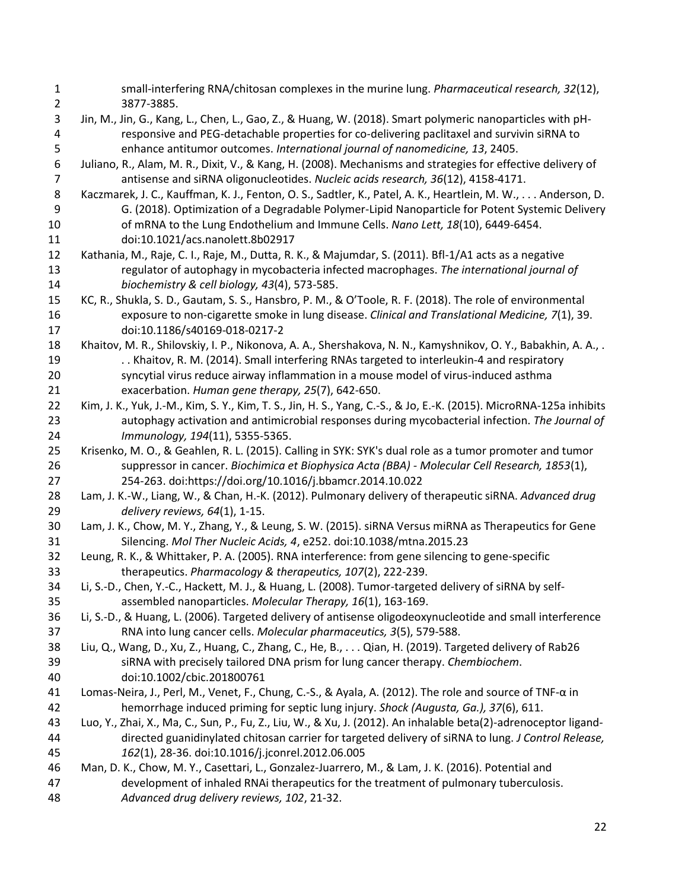<span id="page-21-16"></span><span id="page-21-15"></span><span id="page-21-14"></span><span id="page-21-13"></span><span id="page-21-12"></span><span id="page-21-11"></span><span id="page-21-10"></span><span id="page-21-9"></span><span id="page-21-8"></span><span id="page-21-7"></span><span id="page-21-6"></span><span id="page-21-5"></span><span id="page-21-4"></span><span id="page-21-3"></span><span id="page-21-2"></span><span id="page-21-1"></span><span id="page-21-0"></span> small-interfering RNA/chitosan complexes in the murine lung. *Pharmaceutical research, 32*(12), 3877-3885. Jin, M., Jin, G., Kang, L., Chen, L., Gao, Z., & Huang, W. (2018). Smart polymeric nanoparticles with pH- responsive and PEG-detachable properties for co-delivering paclitaxel and survivin siRNA to enhance antitumor outcomes. *International journal of nanomedicine, 13*, 2405. Juliano, R., Alam, M. R., Dixit, V., & Kang, H. (2008). Mechanisms and strategies for effective delivery of antisense and siRNA oligonucleotides. *Nucleic acids research, 36*(12), 4158-4171. Kaczmarek, J. C., Kauffman, K. J., Fenton, O. S., Sadtler, K., Patel, A. K., Heartlein, M. W., . . . Anderson, D. G. (2018). Optimization of a Degradable Polymer-Lipid Nanoparticle for Potent Systemic Delivery of mRNA to the Lung Endothelium and Immune Cells. *Nano Lett, 18*(10), 6449-6454. doi:10.1021/acs.nanolett.8b02917 Kathania, M., Raje, C. I., Raje, M., Dutta, R. K., & Majumdar, S. (2011). Bfl-1/A1 acts as a negative regulator of autophagy in mycobacteria infected macrophages. *The international journal of biochemistry & cell biology, 43*(4), 573-585. KC, R., Shukla, S. D., Gautam, S. S., Hansbro, P. M., & O'Toole, R. F. (2018). The role of environmental exposure to non-cigarette smoke in lung disease. *Clinical and Translational Medicine, 7*(1), 39. doi:10.1186/s40169-018-0217-2 Khaitov, M. R., Shilovskiy, I. P., Nikonova, A. A., Shershakova, N. N., Kamyshnikov, O. Y., Babakhin, A. A., . 19 . . . Khaitov, R. M. (2014). Small interfering RNAs targeted to interleukin-4 and respiratory syncytial virus reduce airway inflammation in a mouse model of virus-induced asthma exacerbation. *Human gene therapy, 25*(7), 642-650. Kim, J. K., Yuk, J.-M., Kim, S. Y., Kim, T. S., Jin, H. S., Yang, C.-S., & Jo, E.-K. (2015). MicroRNA-125a inhibits autophagy activation and antimicrobial responses during mycobacterial infection. *The Journal of Immunology, 194*(11), 5355-5365. Krisenko, M. O., & Geahlen, R. L. (2015). Calling in SYK: SYK's dual role as a tumor promoter and tumor suppressor in cancer. *Biochimica et Biophysica Acta (BBA) - Molecular Cell Research, 1853*(1), 254-263. doi:https://doi.org/10.1016/j.bbamcr.2014.10.022 Lam, J. K.-W., Liang, W., & Chan, H.-K. (2012). Pulmonary delivery of therapeutic siRNA. *Advanced drug delivery reviews, 64*(1), 1-15. Lam, J. K., Chow, M. Y., Zhang, Y., & Leung, S. W. (2015). siRNA Versus miRNA as Therapeutics for Gene Silencing. *Mol Ther Nucleic Acids, 4*, e252. doi:10.1038/mtna.2015.23 Leung, R. K., & Whittaker, P. A. (2005). RNA interference: from gene silencing to gene-specific therapeutics. *Pharmacology & therapeutics, 107*(2), 222-239. Li, S.-D., Chen, Y.-C., Hackett, M. J., & Huang, L. (2008). Tumor-targeted delivery of siRNA by self- assembled nanoparticles. *Molecular Therapy, 16*(1), 163-169. Li, S.-D., & Huang, L. (2006). Targeted delivery of antisense oligodeoxynucleotide and small interference RNA into lung cancer cells. *Molecular pharmaceutics, 3*(5), 579-588. Liu, Q., Wang, D., Xu, Z., Huang, C., Zhang, C., He, B., . . . Qian, H. (2019). Targeted delivery of Rab26 siRNA with precisely tailored DNA prism for lung cancer therapy. *Chembiochem*. doi:10.1002/cbic.201800761 Lomas-Neira, J., Perl, M., Venet, F., Chung, C.-S., & Ayala, A. (2012). The role and source of TNF-α in hemorrhage induced priming for septic lung injury. *Shock (Augusta, Ga.), 37*(6), 611. Luo, Y., Zhai, X., Ma, C., Sun, P., Fu, Z., Liu, W., & Xu, J. (2012). An inhalable beta(2)-adrenoceptor ligand- directed guanidinylated chitosan carrier for targeted delivery of siRNA to lung. *J Control Release, 162*(1), 28-36. doi:10.1016/j.jconrel.2012.06.005 Man, D. K., Chow, M. Y., Casettari, L., Gonzalez-Juarrero, M., & Lam, J. K. (2016). Potential and development of inhaled RNAi therapeutics for the treatment of pulmonary tuberculosis. *Advanced drug delivery reviews, 102*, 21-32.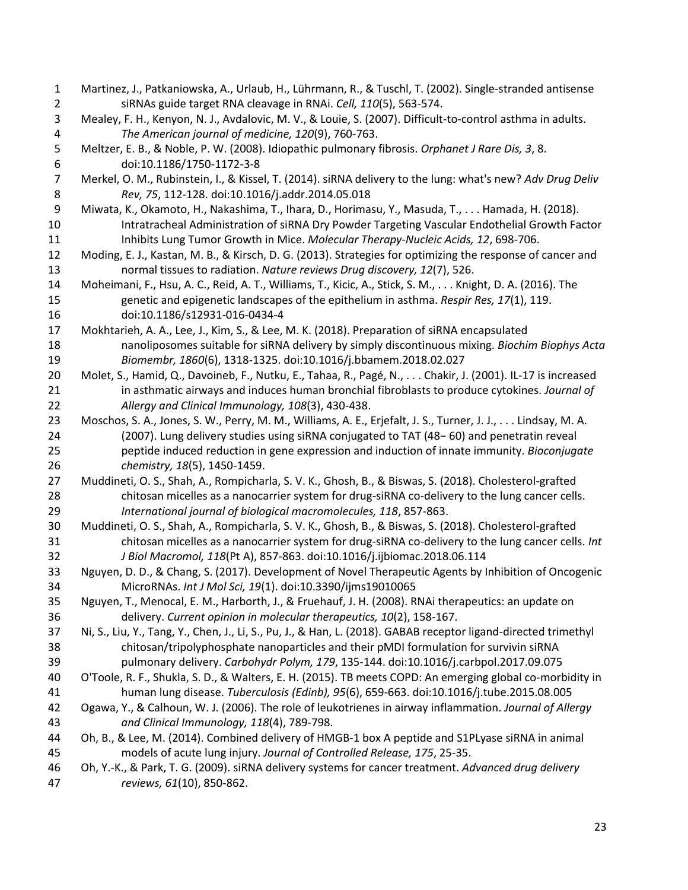<span id="page-22-18"></span><span id="page-22-17"></span><span id="page-22-16"></span><span id="page-22-15"></span><span id="page-22-14"></span><span id="page-22-13"></span><span id="page-22-12"></span><span id="page-22-11"></span><span id="page-22-10"></span><span id="page-22-9"></span><span id="page-22-8"></span><span id="page-22-7"></span><span id="page-22-6"></span><span id="page-22-5"></span><span id="page-22-4"></span><span id="page-22-3"></span><span id="page-22-2"></span><span id="page-22-1"></span><span id="page-22-0"></span> Martinez, J., Patkaniowska, A., Urlaub, H., Lührmann, R., & Tuschl, T. (2002). Single-stranded antisense siRNAs guide target RNA cleavage in RNAi. *Cell, 110*(5), 563-574. Mealey, F. H., Kenyon, N. J., Avdalovic, M. V., & Louie, S. (2007). Difficult-to-control asthma in adults. *The American journal of medicine, 120*(9), 760-763. Meltzer, E. B., & Noble, P. W. (2008). Idiopathic pulmonary fibrosis. *Orphanet J Rare Dis, 3*, 8. doi:10.1186/1750-1172-3-8 Merkel, O. M., Rubinstein, I., & Kissel, T. (2014). siRNA delivery to the lung: what's new? *Adv Drug Deliv Rev, 75*, 112-128. doi:10.1016/j.addr.2014.05.018 Miwata, K., Okamoto, H., Nakashima, T., Ihara, D., Horimasu, Y., Masuda, T., . . . Hamada, H. (2018). Intratracheal Administration of siRNA Dry Powder Targeting Vascular Endothelial Growth Factor Inhibits Lung Tumor Growth in Mice. *Molecular Therapy-Nucleic Acids, 12*, 698-706. Moding, E. J., Kastan, M. B., & Kirsch, D. G. (2013). Strategies for optimizing the response of cancer and normal tissues to radiation. *Nature reviews Drug discovery, 12*(7), 526. Moheimani, F., Hsu, A. C., Reid, A. T., Williams, T., Kicic, A., Stick, S. M., . . . Knight, D. A. (2016). The genetic and epigenetic landscapes of the epithelium in asthma. *Respir Res, 17*(1), 119. doi:10.1186/s12931-016-0434-4 Mokhtarieh, A. A., Lee, J., Kim, S., & Lee, M. K. (2018). Preparation of siRNA encapsulated nanoliposomes suitable for siRNA delivery by simply discontinuous mixing. *Biochim Biophys Acta Biomembr, 1860*(6), 1318-1325. doi:10.1016/j.bbamem.2018.02.027 Molet, S., Hamid, Q., Davoineb, F., Nutku, E., Tahaa, R., Pagé, N., . . . Chakir, J. (2001). IL-17 is increased in asthmatic airways and induces human bronchial fibroblasts to produce cytokines. *Journal of Allergy and Clinical Immunology, 108*(3), 430-438. Moschos, S. A., Jones, S. W., Perry, M. M., Williams, A. E., Erjefalt, J. S., Turner, J. J., . . . Lindsay, M. A. (2007). Lung delivery studies using siRNA conjugated to TAT (48− 60) and penetratin reveal peptide induced reduction in gene expression and induction of innate immunity. *Bioconjugate chemistry, 18*(5), 1450-1459. Muddineti, O. S., Shah, A., Rompicharla, S. V. K., Ghosh, B., & Biswas, S. (2018). Cholesterol-grafted chitosan micelles as a nanocarrier system for drug-siRNA co-delivery to the lung cancer cells. *International journal of biological macromolecules, 118*, 857-863. Muddineti, O. S., Shah, A., Rompicharla, S. V. K., Ghosh, B., & Biswas, S. (2018). Cholesterol-grafted chitosan micelles as a nanocarrier system for drug-siRNA co-delivery to the lung cancer cells. *Int J Biol Macromol, 118*(Pt A), 857-863. doi:10.1016/j.ijbiomac.2018.06.114 Nguyen, D. D., & Chang, S. (2017). Development of Novel Therapeutic Agents by Inhibition of Oncogenic MicroRNAs. *Int J Mol Sci, 19*(1). doi:10.3390/ijms19010065 Nguyen, T., Menocal, E. M., Harborth, J., & Fruehauf, J. H. (2008). RNAi therapeutics: an update on delivery. *Current opinion in molecular therapeutics, 10*(2), 158-167. Ni, S., Liu, Y., Tang, Y., Chen, J., Li, S., Pu, J., & Han, L. (2018). GABAB receptor ligand-directed trimethyl chitosan/tripolyphosphate nanoparticles and their pMDI formulation for survivin siRNA pulmonary delivery. *Carbohydr Polym, 179*, 135-144. doi:10.1016/j.carbpol.2017.09.075 O'Toole, R. F., Shukla, S. D., & Walters, E. H. (2015). TB meets COPD: An emerging global co-morbidity in human lung disease. *Tuberculosis (Edinb), 95*(6), 659-663. doi:10.1016/j.tube.2015.08.005 Ogawa, Y., & Calhoun, W. J. (2006). The role of leukotrienes in airway inflammation. *Journal of Allergy and Clinical Immunology, 118*(4), 789-798. Oh, B., & Lee, M. (2014). Combined delivery of HMGB-1 box A peptide and S1PLyase siRNA in animal models of acute lung injury. *Journal of Controlled Release, 175*, 25-35. Oh, Y.-K., & Park, T. G. (2009). siRNA delivery systems for cancer treatment. *Advanced drug delivery reviews, 61*(10), 850-862.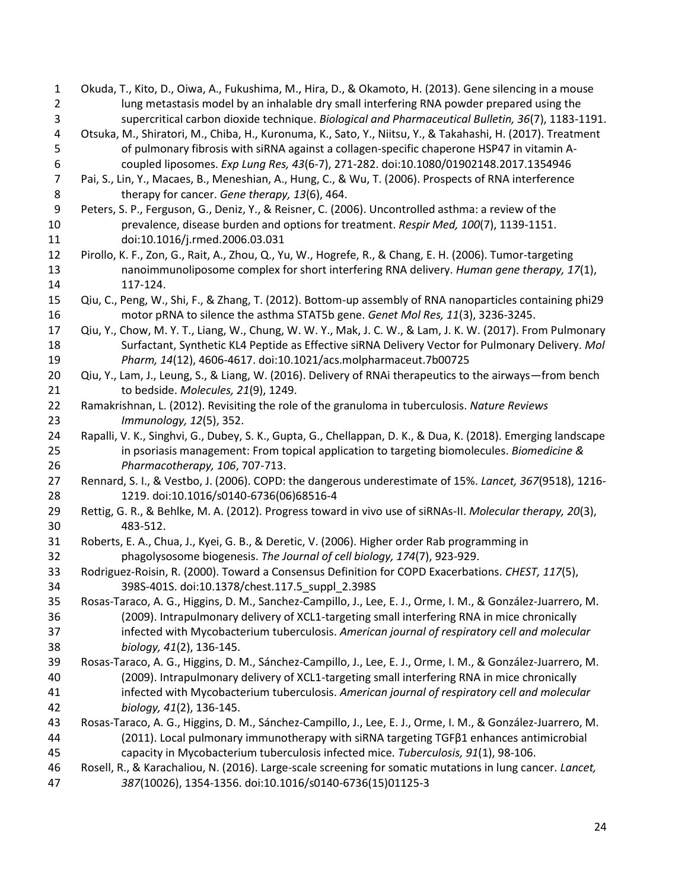<span id="page-23-17"></span><span id="page-23-16"></span><span id="page-23-15"></span><span id="page-23-14"></span><span id="page-23-13"></span><span id="page-23-12"></span><span id="page-23-11"></span><span id="page-23-10"></span><span id="page-23-9"></span><span id="page-23-8"></span><span id="page-23-7"></span><span id="page-23-6"></span><span id="page-23-5"></span><span id="page-23-4"></span><span id="page-23-3"></span><span id="page-23-2"></span><span id="page-23-1"></span><span id="page-23-0"></span> Okuda, T., Kito, D., Oiwa, A., Fukushima, M., Hira, D., & Okamoto, H. (2013). Gene silencing in a mouse lung metastasis model by an inhalable dry small interfering RNA powder prepared using the supercritical carbon dioxide technique. *Biological and Pharmaceutical Bulletin, 36*(7), 1183-1191. Otsuka, M., Shiratori, M., Chiba, H., Kuronuma, K., Sato, Y., Niitsu, Y., & Takahashi, H. (2017). Treatment of pulmonary fibrosis with siRNA against a collagen-specific chaperone HSP47 in vitamin A- coupled liposomes. *Exp Lung Res, 43*(6-7), 271-282. doi:10.1080/01902148.2017.1354946 Pai, S., Lin, Y., Macaes, B., Meneshian, A., Hung, C., & Wu, T. (2006). Prospects of RNA interference therapy for cancer. *Gene therapy, 13*(6), 464. Peters, S. P., Ferguson, G., Deniz, Y., & Reisner, C. (2006). Uncontrolled asthma: a review of the prevalence, disease burden and options for treatment. *Respir Med, 100*(7), 1139-1151. doi:10.1016/j.rmed.2006.03.031 Pirollo, K. F., Zon, G., Rait, A., Zhou, Q., Yu, W., Hogrefe, R., & Chang, E. H. (2006). Tumor-targeting nanoimmunoliposome complex for short interfering RNA delivery. *Human gene therapy, 17*(1), 117-124. Qiu, C., Peng, W., Shi, F., & Zhang, T. (2012). Bottom-up assembly of RNA nanoparticles containing phi29 motor pRNA to silence the asthma STAT5b gene. *Genet Mol Res, 11*(3), 3236-3245. Qiu, Y., Chow, M. Y. T., Liang, W., Chung, W. W. Y., Mak, J. C. W., & Lam, J. K. W. (2017). From Pulmonary Surfactant, Synthetic KL4 Peptide as Effective siRNA Delivery Vector for Pulmonary Delivery. *Mol Pharm, 14*(12), 4606-4617. doi:10.1021/acs.molpharmaceut.7b00725 Qiu, Y., Lam, J., Leung, S., & Liang, W. (2016). Delivery of RNAi therapeutics to the airways—from bench to bedside. *Molecules, 21*(9), 1249. Ramakrishnan, L. (2012). Revisiting the role of the granuloma in tuberculosis. *Nature Reviews Immunology, 12*(5), 352. Rapalli, V. K., Singhvi, G., Dubey, S. K., Gupta, G., Chellappan, D. K., & Dua, K. (2018). Emerging landscape in psoriasis management: From topical application to targeting biomolecules. *Biomedicine & Pharmacotherapy, 106*, 707-713. Rennard, S. I., & Vestbo, J. (2006). COPD: the dangerous underestimate of 15%. *Lancet, 367*(9518), 1216- 1219. doi:10.1016/s0140-6736(06)68516-4 Rettig, G. R., & Behlke, M. A. (2012). Progress toward in vivo use of siRNAs-II. *Molecular therapy, 20*(3), 483-512. Roberts, E. A., Chua, J., Kyei, G. B., & Deretic, V. (2006). Higher order Rab programming in phagolysosome biogenesis. *The Journal of cell biology, 174*(7), 923-929. Rodriguez-Roisin, R. (2000). Toward a Consensus Definition for COPD Exacerbations. *CHEST, 117*(5), 398S-401S. doi:10.1378/chest.117.5\_suppl\_2.398S Rosas-Taraco, A. G., Higgins, D. M., Sanchez-Campillo, J., Lee, E. J., Orme, I. M., & González-Juarrero, M. (2009). Intrapulmonary delivery of XCL1-targeting small interfering RNA in mice chronically infected with Mycobacterium tuberculosis. *American journal of respiratory cell and molecular biology, 41*(2), 136-145. Rosas-Taraco, A. G., Higgins, D. M., Sánchez-Campillo, J., Lee, E. J., Orme, I. M., & González-Juarrero, M. (2009). Intrapulmonary delivery of XCL1-targeting small interfering RNA in mice chronically infected with Mycobacterium tuberculosis. *American journal of respiratory cell and molecular biology, 41*(2), 136-145. Rosas-Taraco, A. G., Higgins, D. M., Sánchez-Campillo, J., Lee, E. J., Orme, I. M., & González-Juarrero, M. (2011). Local pulmonary immunotherapy with siRNA targeting TGFβ1 enhances antimicrobial capacity in Mycobacterium tuberculosis infected mice. *Tuberculosis, 91*(1), 98-106. Rosell, R., & Karachaliou, N. (2016). Large-scale screening for somatic mutations in lung cancer. *Lancet, 387*(10026), 1354-1356. doi:10.1016/s0140-6736(15)01125-3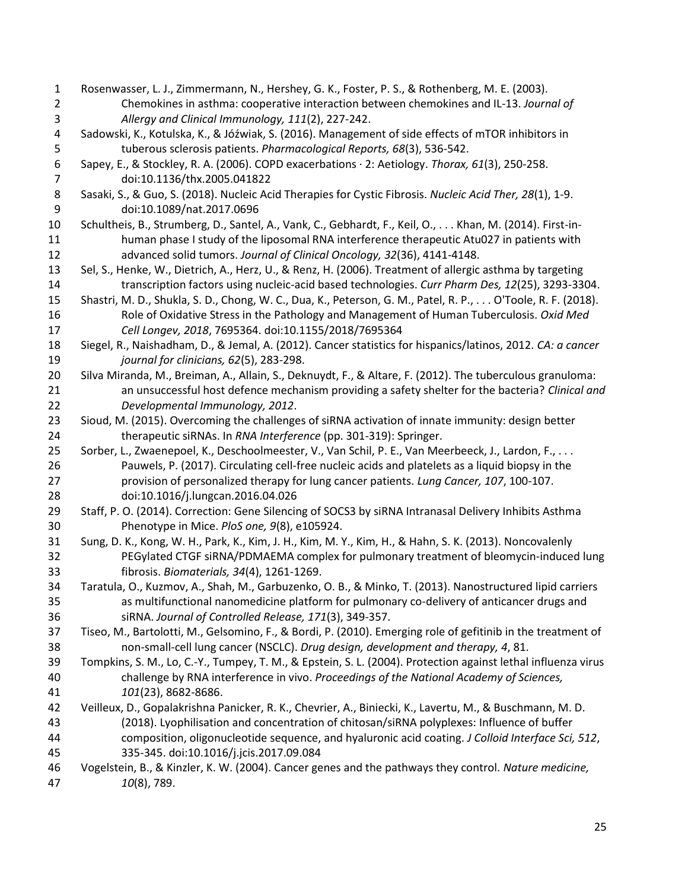<span id="page-24-17"></span><span id="page-24-16"></span><span id="page-24-15"></span><span id="page-24-14"></span><span id="page-24-13"></span><span id="page-24-12"></span><span id="page-24-11"></span><span id="page-24-10"></span><span id="page-24-9"></span><span id="page-24-8"></span><span id="page-24-7"></span><span id="page-24-6"></span><span id="page-24-5"></span><span id="page-24-4"></span><span id="page-24-3"></span><span id="page-24-2"></span><span id="page-24-1"></span><span id="page-24-0"></span> Rosenwasser, L. J., Zimmermann, N., Hershey, G. K., Foster, P. S., & Rothenberg, M. E. (2003). Chemokines in asthma: cooperative interaction between chemokines and IL-13. *Journal of Allergy and Clinical Immunology, 111*(2), 227-242. Sadowski, K., Kotulska, K., & Jóźwiak, S. (2016). Management of side effects of mTOR inhibitors in tuberous sclerosis patients. *Pharmacological Reports, 68*(3), 536-542. Sapey, E., & Stockley, R. A. (2006). COPD exacerbations · 2: Aetiology. *Thorax, 61*(3), 250-258. doi:10.1136/thx.2005.041822 Sasaki, S., & Guo, S. (2018). Nucleic Acid Therapies for Cystic Fibrosis. *Nucleic Acid Ther, 28*(1), 1-9. doi:10.1089/nat.2017.0696 Schultheis, B., Strumberg, D., Santel, A., Vank, C., Gebhardt, F., Keil, O., . . . Khan, M. (2014). First-in- human phase I study of the liposomal RNA interference therapeutic Atu027 in patients with advanced solid tumors. *Journal of Clinical Oncology, 32*(36), 4141-4148. Sel, S., Henke, W., Dietrich, A., Herz, U., & Renz, H. (2006). Treatment of allergic asthma by targeting transcription factors using nucleic-acid based technologies. *Curr Pharm Des, 12*(25), 3293-3304. Shastri, M. D., Shukla, S. D., Chong, W. C., Dua, K., Peterson, G. M., Patel, R. P., . . . O'Toole, R. F. (2018). Role of Oxidative Stress in the Pathology and Management of Human Tuberculosis. *Oxid Med Cell Longev, 2018*, 7695364. doi:10.1155/2018/7695364 Siegel, R., Naishadham, D., & Jemal, A. (2012). Cancer statistics for hispanics/latinos, 2012. *CA: a cancer journal for clinicians, 62*(5), 283-298. Silva Miranda, M., Breiman, A., Allain, S., Deknuydt, F., & Altare, F. (2012). The tuberculous granuloma: an unsuccessful host defence mechanism providing a safety shelter for the bacteria? *Clinical and Developmental Immunology, 2012*. Sioud, M. (2015). Overcoming the challenges of siRNA activation of innate immunity: design better therapeutic siRNAs. In *RNA Interference* (pp. 301-319): Springer. 25 Sorber, L., Zwaenepoel, K., Deschoolmeester, V., Van Schil, P. E., Van Meerbeeck, J., Lardon, F., . . . Pauwels, P. (2017). Circulating cell-free nucleic acids and platelets as a liquid biopsy in the provision of personalized therapy for lung cancer patients. *Lung Cancer, 107*, 100-107. doi:10.1016/j.lungcan.2016.04.026 Staff, P. O. (2014). Correction: Gene Silencing of SOCS3 by siRNA Intranasal Delivery Inhibits Asthma Phenotype in Mice. *PloS one, 9*(8), e105924. Sung, D. K., Kong, W. H., Park, K., Kim, J. H., Kim, M. Y., Kim, H., & Hahn, S. K. (2013). Noncovalenly PEGylated CTGF siRNA/PDMAEMA complex for pulmonary treatment of bleomycin-induced lung fibrosis. *Biomaterials, 34*(4), 1261-1269. Taratula, O., Kuzmov, A., Shah, M., Garbuzenko, O. B., & Minko, T. (2013). Nanostructured lipid carriers as multifunctional nanomedicine platform for pulmonary co-delivery of anticancer drugs and siRNA. *Journal of Controlled Release, 171*(3), 349-357. Tiseo, M., Bartolotti, M., Gelsomino, F., & Bordi, P. (2010). Emerging role of gefitinib in the treatment of non-small-cell lung cancer (NSCLC). *Drug design, development and therapy, 4*, 81. Tompkins, S. M., Lo, C.-Y., Tumpey, T. M., & Epstein, S. L. (2004). Protection against lethal influenza virus challenge by RNA interference in vivo. *Proceedings of the National Academy of Sciences, 101*(23), 8682-8686. Veilleux, D., Gopalakrishna Panicker, R. K., Chevrier, A., Biniecki, K., Lavertu, M., & Buschmann, M. D. (2018). Lyophilisation and concentration of chitosan/siRNA polyplexes: Influence of buffer composition, oligonucleotide sequence, and hyaluronic acid coating. *J Colloid Interface Sci, 512*, 335-345. doi:10.1016/j.jcis.2017.09.084 Vogelstein, B., & Kinzler, K. W. (2004). Cancer genes and the pathways they control. *Nature medicine, 10*(8), 789.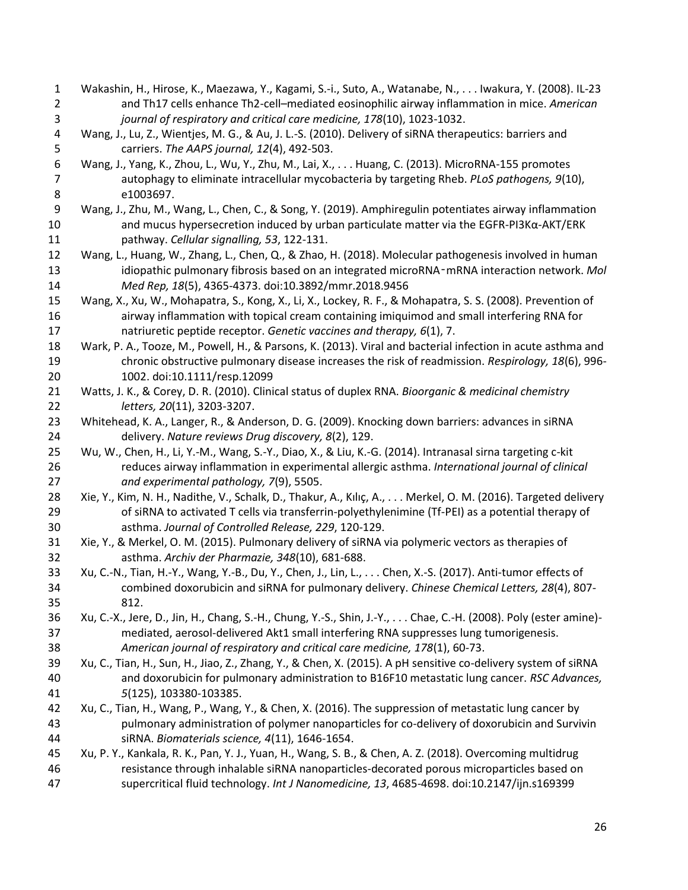<span id="page-25-16"></span><span id="page-25-15"></span><span id="page-25-14"></span><span id="page-25-13"></span><span id="page-25-12"></span><span id="page-25-11"></span><span id="page-25-10"></span><span id="page-25-9"></span><span id="page-25-8"></span><span id="page-25-7"></span><span id="page-25-6"></span><span id="page-25-5"></span><span id="page-25-4"></span><span id="page-25-3"></span><span id="page-25-2"></span><span id="page-25-1"></span><span id="page-25-0"></span> Wakashin, H., Hirose, K., Maezawa, Y., Kagami, S.-i., Suto, A., Watanabe, N., . . . Iwakura, Y. (2008). IL-23 and Th17 cells enhance Th2-cell–mediated eosinophilic airway inflammation in mice. *American journal of respiratory and critical care medicine, 178*(10), 1023-1032. Wang, J., Lu, Z., Wientjes, M. G., & Au, J. L.-S. (2010). Delivery of siRNA therapeutics: barriers and carriers. *The AAPS journal, 12*(4), 492-503. Wang, J., Yang, K., Zhou, L., Wu, Y., Zhu, M., Lai, X., . . . Huang, C. (2013). MicroRNA-155 promotes autophagy to eliminate intracellular mycobacteria by targeting Rheb. *PLoS pathogens, 9*(10), e1003697. Wang, J., Zhu, M., Wang, L., Chen, C., & Song, Y. (2019). Amphiregulin potentiates airway inflammation and mucus hypersecretion induced by urban particulate matter via the EGFR-PI3Kα-AKT/ERK pathway. *Cellular signalling, 53*, 122-131. Wang, L., Huang, W., Zhang, L., Chen, Q., & Zhao, H. (2018). Molecular pathogenesis involved in human idiopathic pulmonary fibrosis based on an integrated microRNA‑mRNA interaction network. *Mol Med Rep, 18*(5), 4365-4373. doi:10.3892/mmr.2018.9456 Wang, X., Xu, W., Mohapatra, S., Kong, X., Li, X., Lockey, R. F., & Mohapatra, S. S. (2008). Prevention of airway inflammation with topical cream containing imiquimod and small interfering RNA for natriuretic peptide receptor. *Genetic vaccines and therapy, 6*(1), 7. Wark, P. A., Tooze, M., Powell, H., & Parsons, K. (2013). Viral and bacterial infection in acute asthma and chronic obstructive pulmonary disease increases the risk of readmission. *Respirology, 18*(6), 996- 1002. doi:10.1111/resp.12099 Watts, J. K., & Corey, D. R. (2010). Clinical status of duplex RNA. *Bioorganic & medicinal chemistry letters, 20*(11), 3203-3207. Whitehead, K. A., Langer, R., & Anderson, D. G. (2009). Knocking down barriers: advances in siRNA delivery. *Nature reviews Drug discovery, 8*(2), 129. Wu, W., Chen, H., Li, Y.-M., Wang, S.-Y., Diao, X., & Liu, K.-G. (2014). Intranasal sirna targeting c-kit reduces airway inflammation in experimental allergic asthma. *International journal of clinical and experimental pathology, 7*(9), 5505. 28 Xie, Y., Kim, N. H., Nadithe, V., Schalk, D., Thakur, A., Kılıç, A., . . . Merkel, O. M. (2016). Targeted delivery of siRNA to activated T cells via transferrin-polyethylenimine (Tf-PEI) as a potential therapy of asthma. *Journal of Controlled Release, 229*, 120-129. Xie, Y., & Merkel, O. M. (2015). Pulmonary delivery of siRNA via polymeric vectors as therapies of asthma. *Archiv der Pharmazie, 348*(10), 681-688. Xu, C.-N., Tian, H.-Y., Wang, Y.-B., Du, Y., Chen, J., Lin, L., . . . Chen, X.-S. (2017). Anti-tumor effects of combined doxorubicin and siRNA for pulmonary delivery. *Chinese Chemical Letters, 28*(4), 807- 812. Xu, C.-X., Jere, D., Jin, H., Chang, S.-H., Chung, Y.-S., Shin, J.-Y., . . . Chae, C.-H. (2008). Poly (ester amine)- mediated, aerosol-delivered Akt1 small interfering RNA suppresses lung tumorigenesis. *American journal of respiratory and critical care medicine, 178*(1), 60-73. Xu, C., Tian, H., Sun, H., Jiao, Z., Zhang, Y., & Chen, X. (2015). A pH sensitive co-delivery system of siRNA and doxorubicin for pulmonary administration to B16F10 metastatic lung cancer. *RSC Advances, 5*(125), 103380-103385. Xu, C., Tian, H., Wang, P., Wang, Y., & Chen, X. (2016). The suppression of metastatic lung cancer by pulmonary administration of polymer nanoparticles for co-delivery of doxorubicin and Survivin siRNA. *Biomaterials science, 4*(11), 1646-1654. Xu, P. Y., Kankala, R. K., Pan, Y. J., Yuan, H., Wang, S. B., & Chen, A. Z. (2018). Overcoming multidrug resistance through inhalable siRNA nanoparticles-decorated porous microparticles based on supercritical fluid technology. *Int J Nanomedicine, 13*, 4685-4698. doi:10.2147/ijn.s169399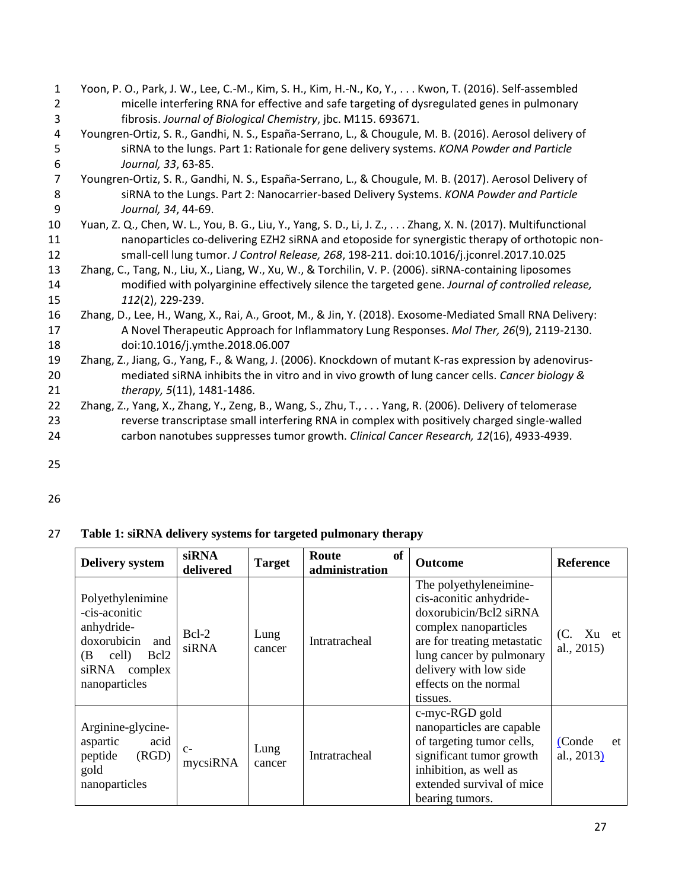- <span id="page-26-7"></span><span id="page-26-6"></span><span id="page-26-5"></span><span id="page-26-0"></span>1 Yoon, P. O., Park, J. W., Lee, C.-M., Kim, S. H., Kim, H.-N., Ko, Y., . . . Kwon, T. (2016). Self-assembled 2 micelle interfering RNA for effective and safe targeting of dysregulated genes in pulmonary 3 fibrosis. *Journal of Biological Chemistry*, jbc. M115. 693671. 4 Youngren-Ortiz, S. R., Gandhi, N. S., España-Serrano, L., & Chougule, M. B. (2016). Aerosol delivery of<br>5 siRNA to the lungs. Part 1: Rationale for gene delivery systems. KONA Powder and Particle 5 siRNA to the lungs. Part 1: Rationale for gene delivery systems. *KONA Powder and Particle*  6 *Journal, 33*, 63-85. 7 Youngren-Ortiz, S. R., Gandhi, N. S., España-Serrano, L., & Chougule, M. B. (2017). Aerosol Delivery of 8 siRNA to the Lungs. Part 2: Nanocarrier-based Delivery Systems. *KONA Powder and Particle*  9 *Journal, 34*, 44-69. 10 Yuan, Z. Q., Chen, W. L., You, B. G., Liu, Y., Yang, S. D., Li, J. Z., . . . Zhang, X. N. (2017). Multifunctional 11 nanoparticles co-delivering EZH2 siRNA and etoposide for synergistic therapy of orthotopic non-12 small-cell lung tumor. *J Control Release, 268*, 198-211. doi:10.1016/j.jconrel.2017.10.025 13 Zhang, C., Tang, N., Liu, X., Liang, W., Xu, W., & Torchilin, V. P. (2006). siRNA-containing liposomes 14 modified with polyarginine effectively silence the targeted gene. *Journal of controlled release,*  15 *112*(2), 229-239. 16 Zhang, D., Lee, H., Wang, X., Rai, A., Groot, M., & Jin, Y. (2018). Exosome-Mediated Small RNA Delivery: 17 A Novel Therapeutic Approach for Inflammatory Lung Responses. *Mol Ther, 26*(9), 2119-2130. 18 doi:10.1016/j.ymthe.2018.06.007 19 Zhang, Z., Jiang, G., Yang, F., & Wang, J. (2006). Knockdown of mutant K-ras expression by adenovirus-20 mediated siRNA inhibits the in vitro and in vivo growth of lung cancer cells. *Cancer biology &*  21 *therapy, 5*(11), 1481-1486.
- <span id="page-26-4"></span><span id="page-26-3"></span><span id="page-26-2"></span><span id="page-26-1"></span>22 Zhang, Z., Yang, X., Zhang, Y., Zeng, B., Wang, S., Zhu, T., . . . Yang, R. (2006). Delivery of telomerase 23 reverse transcriptase small interfering RNA in complex with positively charged single-walled 24 carbon nanotubes suppresses tumor growth. *Clinical Cancer Research, 12*(16), 4933-4939.
- 25
- 26

# 27 **Table 1: siRNA delivery systems for targeted pulmonary therapy**

| <b>Delivery system</b>                                                                                                                        | <b>siRNA</b><br>delivered | <b>Target</b>  | of<br>Route<br>administration | <b>Outcome</b>                                                                                                                                                                                                                 | <b>Reference</b>              |
|-----------------------------------------------------------------------------------------------------------------------------------------------|---------------------------|----------------|-------------------------------|--------------------------------------------------------------------------------------------------------------------------------------------------------------------------------------------------------------------------------|-------------------------------|
| Polyethylenimine<br>-cis-aconitic<br>anhydride-<br>doxorubicin<br>and<br>cell)<br>Bcl <sub>2</sub><br>(B<br>siRNA<br>complex<br>nanoparticles | $Bcl-2$<br>siRNA          | Lung<br>cancer | Intratracheal                 | The polyethyleneimine-<br>cis-aconitic anhydride-<br>doxorubicin/Bcl2 siRNA<br>complex nanoparticles<br>are for treating metastatic<br>lung cancer by pulmonary<br>delivery with low side<br>effects on the normal<br>tissues. | Xu et<br>(C.<br>al., 2015)    |
| Arginine-glycine-<br>acid<br>aspartic<br>(RGD)<br>peptide<br>gold<br>nanoparticles                                                            | $C-$<br>mycsiRNA          | Lung<br>cancer | Intratracheal                 | c-myc-RGD gold<br>nanoparticles are capable<br>of targeting tumor cells,<br>significant tumor growth<br>inhibition, as well as<br>extended survival of mice<br>bearing tumors.                                                 | (Conde<br>et<br>al., $2013$ ) |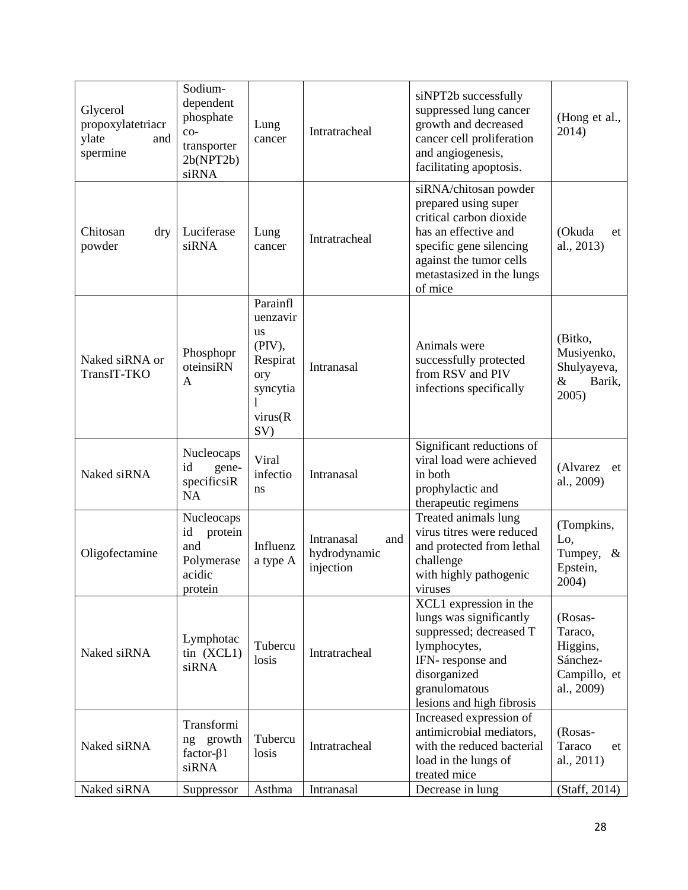| Glycerol<br>propoxylatetriacr<br>and<br>ylate<br>spermine | Sodium-<br>dependent<br>phosphate<br>$_{\rm co-}$<br>transporter<br>2b(NPT2b)<br>siRNA | Lung<br>cancer                                                                                    | Intratracheal                                  | siNPT2b successfully<br>suppressed lung cancer<br>growth and decreased<br>cancer cell proliferation<br>and angiogenesis,<br>facilitating apoptosis.                                            | (Hong et al.,<br>2014)                                                   |
|-----------------------------------------------------------|----------------------------------------------------------------------------------------|---------------------------------------------------------------------------------------------------|------------------------------------------------|------------------------------------------------------------------------------------------------------------------------------------------------------------------------------------------------|--------------------------------------------------------------------------|
| Chitosan<br>dry<br>powder                                 | Luciferase<br>siRNA                                                                    | Lung<br>cancer                                                                                    | Intratracheal                                  | siRNA/chitosan powder<br>prepared using super<br>critical carbon dioxide<br>has an effective and<br>specific gene silencing<br>against the tumor cells<br>metastasized in the lungs<br>of mice | (Okuda<br>et<br>al., 2013)                                               |
| Naked siRNA or<br>TransIT-TKO                             | Phosphopr<br>oteinsiRN<br>A                                                            | Parainfl<br>uenzavir<br><b>us</b><br>(PIV),<br>Respirat<br>ory<br>syncytia<br>1<br>virus(R<br>SV) | Intranasal                                     | Animals were<br>successfully protected<br>from RSV and PIV<br>infections specifically                                                                                                          | (Bitko,<br>Musiyenko,<br>Shulyayeva,<br>$\&$<br>Barik,<br>2005)          |
| Naked siRNA                                               | Nucleocaps<br>id<br>gene-<br>specificsiR<br><b>NA</b>                                  | Viral<br>infectio<br>ns                                                                           | Intranasal                                     | Significant reductions of<br>viral load were achieved<br>in both<br>prophylactic and<br>therapeutic regimens                                                                                   | (Alvarez<br>et<br>al., 2009)                                             |
| Oligofectamine                                            | Nucleocaps<br>id<br>protein<br>and<br>Polymerase<br>acidic<br>protein                  | Influenz<br>a type A                                                                              | Intranasal<br>and<br>hydrodynamic<br>injection | Treated animals lung<br>virus titres were reduced<br>and protected from lethal<br>challenge<br>with highly pathogenic<br>viruses                                                               | (Tompkins,<br>Lo,<br>Tumpey,<br>$\&$<br>Epstein,<br>2004)                |
| Naked siRNA                                               | Lymphotac<br>$\sin(XCL1)$<br>siRNA                                                     | Tubercu<br>losis                                                                                  | Intratracheal                                  | XCL1 expression in the<br>lungs was significantly<br>suppressed; decreased T<br>lymphocytes,<br>IFN-response and<br>disorganized<br>granulomatous<br>lesions and high fibrosis                 | (Rosas-<br>Taraco,<br>Higgins,<br>Sánchez-<br>Campillo, et<br>al., 2009) |
| Naked siRNA                                               | Transformi<br>ng growth<br>factor- $\beta$ 1<br>siRNA                                  | Tubercu<br>losis                                                                                  | Intratracheal                                  | Increased expression of<br>antimicrobial mediators,<br>with the reduced bacterial<br>load in the lungs of<br>treated mice                                                                      | (Rosas-<br>Taraco<br>et<br>al., $2011$ )                                 |
| Naked siRNA                                               | Suppressor                                                                             | Asthma                                                                                            | Intranasal                                     | Decrease in lung                                                                                                                                                                               | (Staff, 2014)                                                            |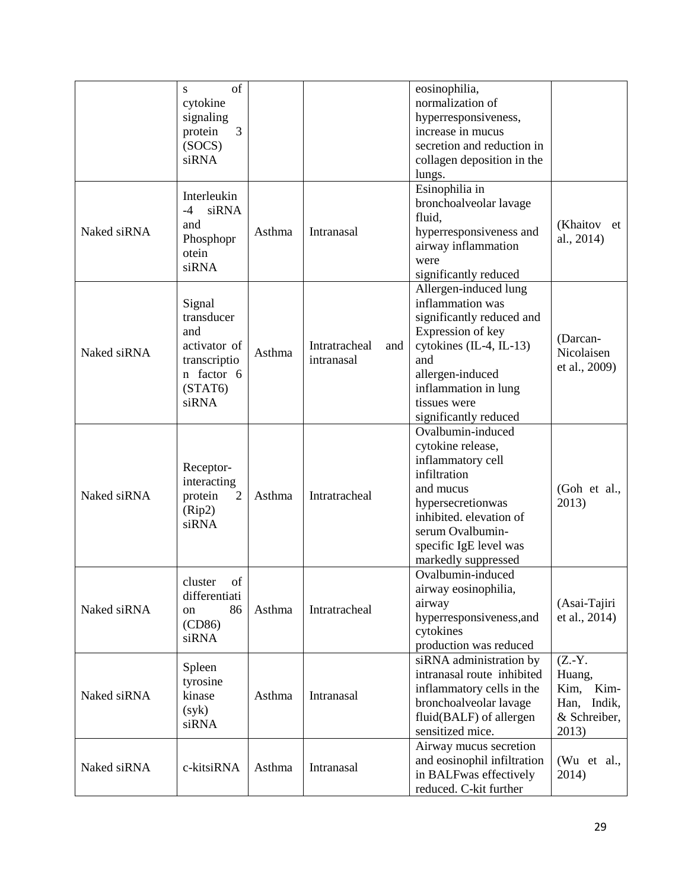|             | of<br>S.      |        |                      | eosinophilia,               |               |
|-------------|---------------|--------|----------------------|-----------------------------|---------------|
|             | cytokine      |        |                      | normalization of            |               |
|             | signaling     |        |                      | hyperresponsiveness,        |               |
|             | protein<br>3  |        |                      | increase in mucus           |               |
|             | (SOCS)        |        |                      | secretion and reduction in  |               |
|             | siRNA         |        |                      | collagen deposition in the  |               |
|             |               |        |                      | lungs.                      |               |
|             |               |        |                      | Esinophilia in              |               |
|             | Interleukin   |        |                      | bronchoalveolar lavage      |               |
|             | siRNA<br>$-4$ |        |                      | fluid,                      |               |
| Naked siRNA | and           | Asthma | Intranasal           | hyperresponsiveness and     | (Khaitov et   |
|             | Phosphopr     |        |                      |                             | al., 2014)    |
|             | otein         |        |                      | airway inflammation         |               |
|             | siRNA         |        |                      | were                        |               |
|             |               |        |                      | significantly reduced       |               |
|             |               |        |                      | Allergen-induced lung       |               |
|             | Signal        |        |                      | inflammation was            |               |
|             | transducer    |        |                      | significantly reduced and   |               |
|             | and           |        |                      | Expression of key           |               |
|             | activator of  |        | Intratracheal<br>and | cytokines (IL-4, IL-13)     | (Darcan-      |
| Naked siRNA | transcriptio  | Asthma | intranasal           | and                         | Nicolaisen    |
|             | n factor 6    |        |                      | allergen-induced            | et al., 2009) |
|             | (STAT6)       |        |                      | inflammation in lung        |               |
|             | siRNA         |        |                      | tissues were                |               |
|             |               |        |                      | significantly reduced       |               |
|             |               |        |                      | Ovalbumin-induced           |               |
|             |               |        |                      | cytokine release,           |               |
|             |               |        |                      |                             |               |
|             | Receptor-     | Asthma | Intratracheal        | inflammatory cell           |               |
|             | interacting   |        |                      | infiltration                |               |
| Naked siRNA | protein<br>2  |        |                      | and mucus                   | (Goh et al.,  |
|             | (Rip2)        |        |                      | hypersecretionwas           | 2013)         |
|             | siRNA         |        |                      | inhibited, elevation of     |               |
|             |               |        |                      | serum Ovalbumin-            |               |
|             |               |        |                      | specific IgE level was      |               |
|             |               |        |                      | markedly suppressed         |               |
|             |               |        |                      | Ovalbumin-induced           |               |
|             | cluster of    |        |                      | airway eosinophilia,        |               |
|             | differentiati |        |                      | airway                      | (Asai-Tajiri  |
| Naked siRNA | 86<br>on      | Asthma | Intratracheal        | hyperresponsiveness, and    | et al., 2014) |
|             | (CD86)        |        |                      | cytokines                   |               |
|             | siRNA         |        |                      | production was reduced      |               |
|             |               |        |                      | siRNA administration by     | $(Z.-Y.$      |
|             | Spleen        |        |                      | intranasal route inhibited  | Huang,        |
|             | tyrosine      |        |                      |                             | Kim-          |
| Naked siRNA | kinase        | Asthma | Intranasal           | inflammatory cells in the   | Kim,          |
|             | (syk)         |        |                      | bronchoalveolar lavage      | Han, Indik,   |
|             | siRNA         |        |                      | fluid(BALF) of allergen     | & Schreiber,  |
|             |               |        |                      | sensitized mice.            | 2013)         |
|             |               |        |                      | Airway mucus secretion      |               |
| Naked siRNA | c-kitsiRNA    | Asthma | Intranasal           | and eosinophil infiltration | (Wu et al.,   |
|             |               |        |                      | in BALFwas effectively      | 2014)         |
|             |               |        |                      | reduced. C-kit further      |               |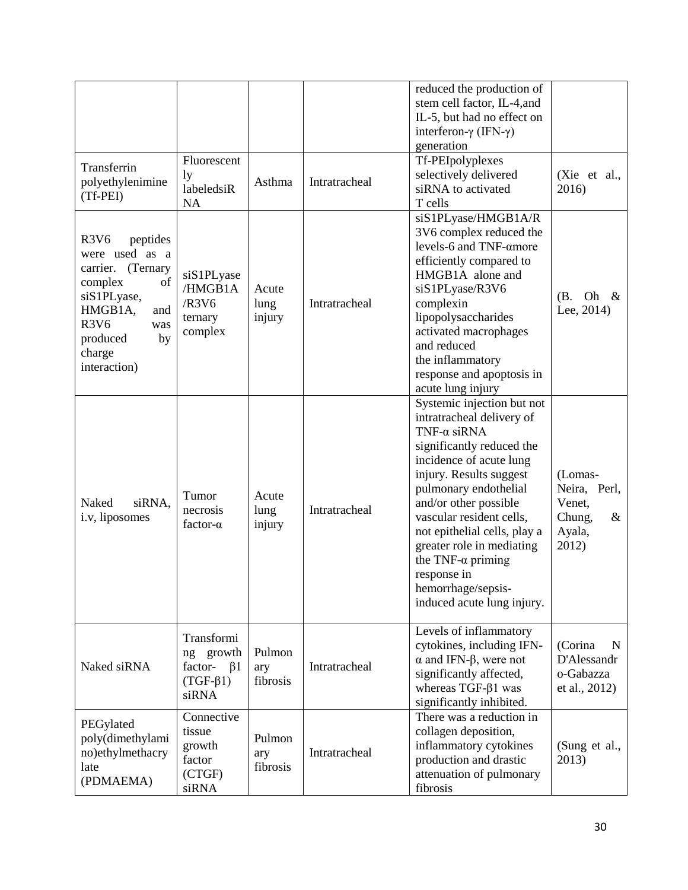|                                                                                                                                                                                                                           |                                                                            |                           |               | reduced the production of<br>stem cell factor, IL-4, and<br>IL-5, but had no effect on<br>interferon- $\gamma$ (IFN- $\gamma$ )<br>generation                                                                                                                                                                                                                                                                |                                                                        |
|---------------------------------------------------------------------------------------------------------------------------------------------------------------------------------------------------------------------------|----------------------------------------------------------------------------|---------------------------|---------------|--------------------------------------------------------------------------------------------------------------------------------------------------------------------------------------------------------------------------------------------------------------------------------------------------------------------------------------------------------------------------------------------------------------|------------------------------------------------------------------------|
| Transferrin<br>polyethylenimine<br>(Tf-PEI)                                                                                                                                                                               | Fluorescent<br>1y<br>labeledsiR<br><b>NA</b>                               | Asthma                    | Intratracheal | Tf-PEIpolyplexes<br>selectively delivered<br>siRNA to activated<br>T cells                                                                                                                                                                                                                                                                                                                                   | (Xie et al.,<br>2016)                                                  |
| R <sub>3</sub> V <sub>6</sub><br>peptides<br>were used as a<br>(Ternary<br>carrier.<br>of<br>complex<br>siS1PLyase,<br>HMGB1A,<br>and<br>R <sub>3</sub> V <sub>6</sub><br>was<br>produced<br>by<br>charge<br>interaction) | siS1PLyase<br>/HMGB1A<br>/R3V6<br>ternary<br>complex                       | Acute<br>lung<br>injury   | Intratracheal | siS1PLyase/HMGB1A/R<br>3V6 complex reduced the<br>levels-6 and TNF-amore<br>efficiently compared to<br>HMGB1A alone and<br>siS1PLyase/R3V6<br>complexin<br>lipopolysaccharides<br>activated macrophages<br>and reduced<br>the inflammatory<br>response and apoptosis in<br>acute lung injury                                                                                                                 | Oh<br>(B.<br>&<br>Lee, 2014)                                           |
| Naked<br>siRNA,<br>i.v, liposomes                                                                                                                                                                                         | Tumor<br>necrosis<br>factor- $\alpha$                                      | Acute<br>lung<br>injury   | Intratracheal | Systemic injection but not<br>intratracheal delivery of<br>TNF- $\alpha$ siRNA<br>significantly reduced the<br>incidence of acute lung<br>injury. Results suggest<br>pulmonary endothelial<br>and/or other possible<br>vascular resident cells,<br>not epithelial cells, play a<br>greater role in mediating<br>the TNF- $\alpha$ priming<br>response in<br>hemorrhage/sepsis-<br>induced acute lung injury. | (Lomas-<br>Neira, Perl,<br>Venet,<br>Chung,<br>$\&$<br>Ayala,<br>2012) |
| Naked siRNA                                                                                                                                                                                                               | Transformi<br>ng growth<br>factor-<br>$\beta$ 1<br>$(TGF-\beta1)$<br>siRNA | Pulmon<br>ary<br>fibrosis | Intratracheal | Levels of inflammatory<br>cytokines, including IFN-<br>$\alpha$ and IFN- $\beta$ , were not<br>significantly affected,<br>whereas TGF- $\beta$ 1 was<br>significantly inhibited.                                                                                                                                                                                                                             | (Corina<br>N<br>D'Alessandr<br>o-Gabazza<br>et al., 2012)              |
| PEGylated<br>poly(dimethylami<br>no)ethylmethacry<br>late<br>(PDMAEMA)                                                                                                                                                    | Connective<br>tissue<br>growth<br>factor<br>(CTGF)<br>siRNA                | Pulmon<br>ary<br>fibrosis | Intratracheal | There was a reduction in<br>collagen deposition,<br>inflammatory cytokines<br>production and drastic<br>attenuation of pulmonary<br>fibrosis                                                                                                                                                                                                                                                                 | (Sung et al.,<br>2013)                                                 |